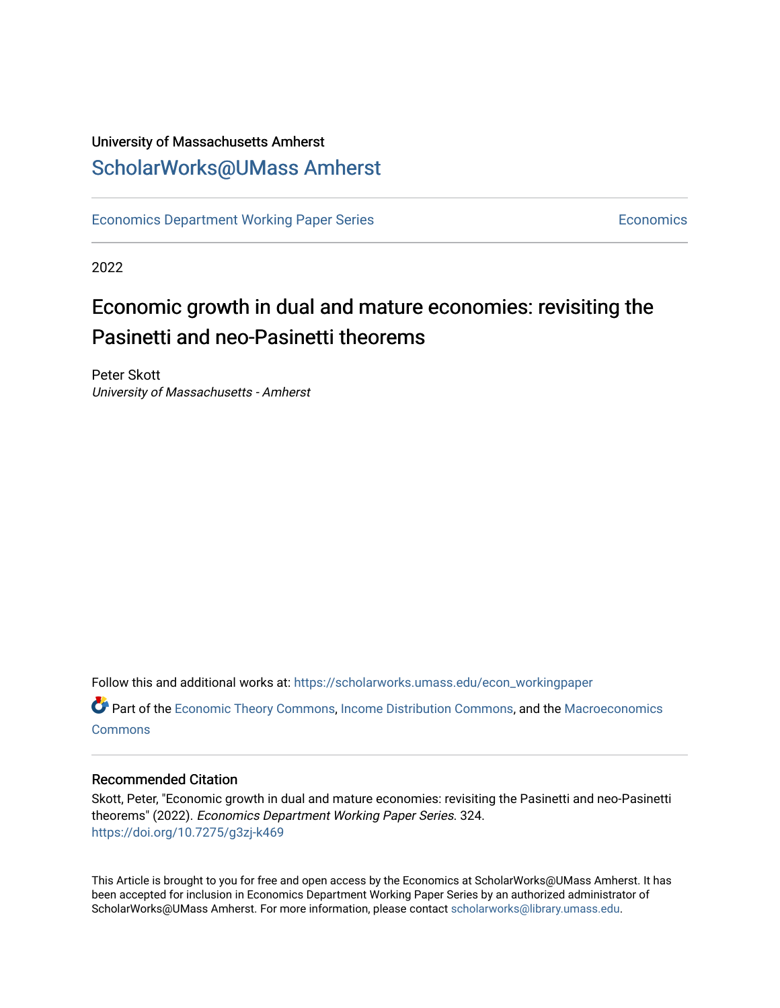## University of Massachusetts Amherst [ScholarWorks@UMass Amherst](https://scholarworks.umass.edu/)

[Economics Department Working Paper Series](https://scholarworks.umass.edu/econ_workingpaper) **Economics** [Economics](https://scholarworks.umass.edu/economics) Economics

2022

# Economic growth in dual and mature economies: revisiting the Pasinetti and neo-Pasinetti theorems

Peter Skott University of Massachusetts - Amherst

Follow this and additional works at: [https://scholarworks.umass.edu/econ\\_workingpaper](https://scholarworks.umass.edu/econ_workingpaper?utm_source=scholarworks.umass.edu%2Fecon_workingpaper%2F324&utm_medium=PDF&utm_campaign=PDFCoverPages) 

Part of the [Economic Theory Commons](http://network.bepress.com/hgg/discipline/344?utm_source=scholarworks.umass.edu%2Fecon_workingpaper%2F324&utm_medium=PDF&utm_campaign=PDFCoverPages), [Income Distribution Commons](http://network.bepress.com/hgg/discipline/1269?utm_source=scholarworks.umass.edu%2Fecon_workingpaper%2F324&utm_medium=PDF&utm_campaign=PDFCoverPages), and the [Macroeconomics](http://network.bepress.com/hgg/discipline/350?utm_source=scholarworks.umass.edu%2Fecon_workingpaper%2F324&utm_medium=PDF&utm_campaign=PDFCoverPages)  **[Commons](http://network.bepress.com/hgg/discipline/350?utm_source=scholarworks.umass.edu%2Fecon_workingpaper%2F324&utm_medium=PDF&utm_campaign=PDFCoverPages)** 

### Recommended Citation

Skott, Peter, "Economic growth in dual and mature economies: revisiting the Pasinetti and neo-Pasinetti theorems" (2022). Economics Department Working Paper Series. 324. <https://doi.org/10.7275/g3zj-k469>

This Article is brought to you for free and open access by the Economics at ScholarWorks@UMass Amherst. It has been accepted for inclusion in Economics Department Working Paper Series by an authorized administrator of ScholarWorks@UMass Amherst. For more information, please contact [scholarworks@library.umass.edu.](mailto:scholarworks@library.umass.edu)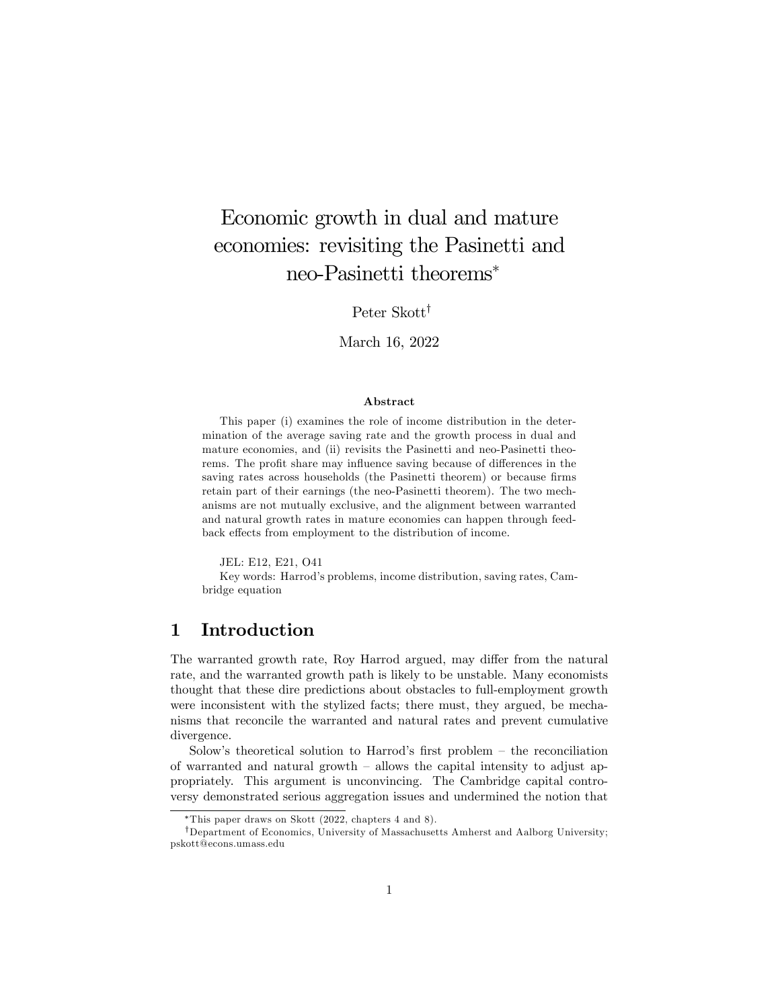## Economic growth in dual and mature economies: revisiting the Pasinetti and neo-Pasinetti theorems

Peter Skott<sup>†</sup>

March 16, 2022

#### Abstract

This paper (i) examines the role of income distribution in the determination of the average saving rate and the growth process in dual and mature economies, and (ii) revisits the Pasinetti and neo-Pasinetti theorems. The profit share may influence saving because of differences in the saving rates across households (the Pasinetti theorem) or because firms retain part of their earnings (the neo-Pasinetti theorem). The two mechanisms are not mutually exclusive, and the alignment between warranted and natural growth rates in mature economies can happen through feedback effects from employment to the distribution of income.

JEL: E12, E21, O41

Key words: Harrod's problems, income distribution, saving rates, Cambridge equation

## 1 Introduction

The warranted growth rate, Roy Harrod argued, may differ from the natural rate, and the warranted growth path is likely to be unstable. Many economists thought that these dire predictions about obstacles to full-employment growth were inconsistent with the stylized facts; there must, they argued, be mechanisms that reconcile the warranted and natural rates and prevent cumulative divergence.

Solow's theoretical solution to Harrod's first problem  $-$  the reconciliation of warranted and natural growth  $-$  allows the capital intensity to adjust appropriately. This argument is unconvincing. The Cambridge capital controversy demonstrated serious aggregation issues and undermined the notion that

This paper draws on Skott (2022, chapters 4 and 8).

 $^\dagger$ Department of Economics, University of Massachusetts Amherst and Aalborg University; pskott@econs.umass.edu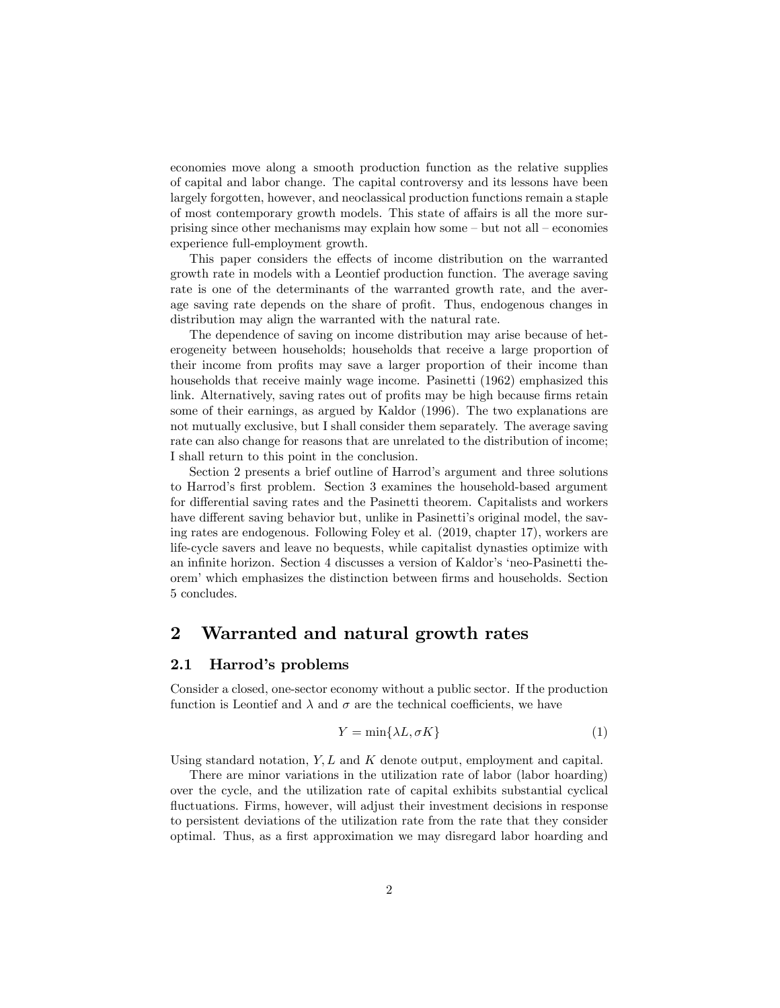economies move along a smooth production function as the relative supplies of capital and labor change. The capital controversy and its lessons have been largely forgotten, however, and neoclassical production functions remain a staple of most contemporary growth models. This state of affairs is all the more surprising since other mechanisms may explain how some  $-\text{ but not all }-\text{economics}$ experience full-employment growth.

This paper considers the effects of income distribution on the warranted growth rate in models with a Leontief production function. The average saving rate is one of the determinants of the warranted growth rate, and the average saving rate depends on the share of profit. Thus, endogenous changes in distribution may align the warranted with the natural rate.

The dependence of saving on income distribution may arise because of heterogeneity between households; households that receive a large proportion of their income from profits may save a larger proportion of their income than households that receive mainly wage income. Pasinetti (1962) emphasized this link. Alternatively, saving rates out of profits may be high because firms retain some of their earnings, as argued by Kaldor (1996). The two explanations are not mutually exclusive, but I shall consider them separately. The average saving rate can also change for reasons that are unrelated to the distribution of income; I shall return to this point in the conclusion.

Section 2 presents a brief outline of Harrod's argument and three solutions to Harrod's first problem. Section 3 examines the household-based argument for differential saving rates and the Pasinetti theorem. Capitalists and workers have different saving behavior but, unlike in Pasinetti's original model, the saving rates are endogenous. Following Foley et al. (2019, chapter 17), workers are life-cycle savers and leave no bequests, while capitalist dynasties optimize with an infinite horizon. Section 4 discusses a version of Kaldor's 'neo-Pasinetti theorem<sup>'</sup> which emphasizes the distinction between firms and households. Section 5 concludes.

### 2 Warranted and natural growth rates

#### 2.1 Harrod's problems

Consider a closed, one-sector economy without a public sector. If the production function is Leontief and  $\lambda$  and  $\sigma$  are the technical coefficients, we have

$$
Y = \min\{\lambda L, \sigma K\} \tag{1}
$$

Using standard notation,  $Y, L$  and K denote output, employment and capital.

There are minor variations in the utilization rate of labor (labor hoarding) over the cycle, and the utilization rate of capital exhibits substantial cyclical fluctuations. Firms, however, will adjust their investment decisions in response to persistent deviations of the utilization rate from the rate that they consider optimal. Thus, as a first approximation we may disregard labor hoarding and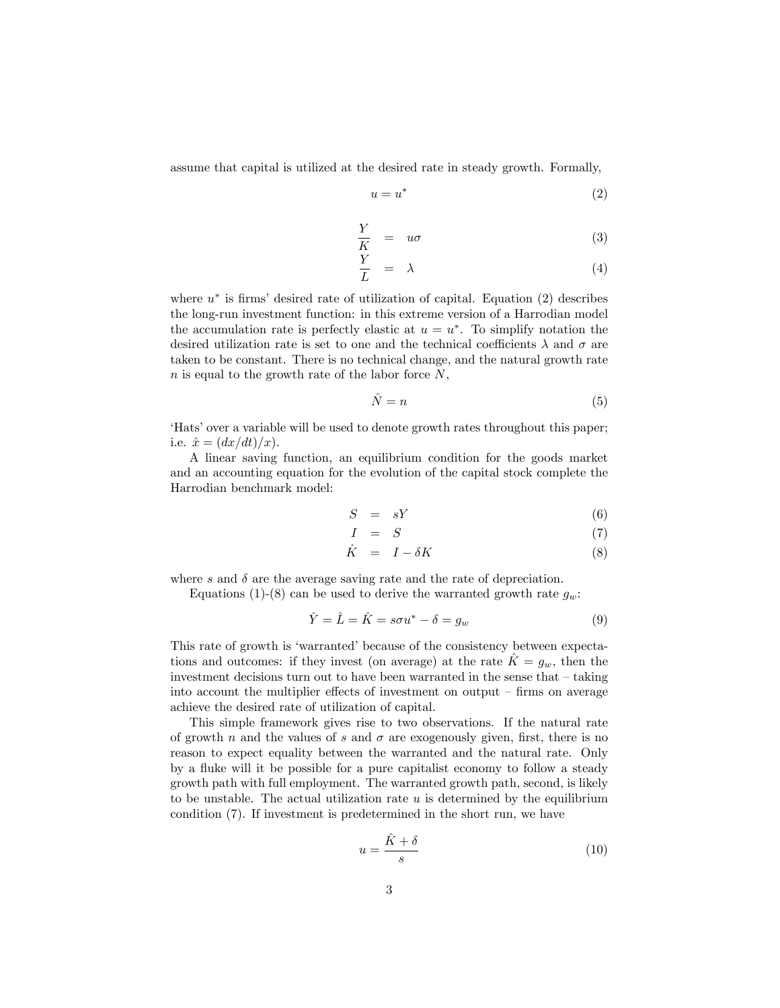assume that capital is utilized at the desired rate in steady growth. Formally,

$$
u = u^* \tag{2}
$$

$$
\frac{Y}{K} = u\sigma \tag{3}
$$

$$
\frac{Y}{L} = \lambda \tag{4}
$$

where  $u^*$  is firms' desired rate of utilization of capital. Equation (2) describes the long-run investment function: in this extreme version of a Harrodian model the accumulation rate is perfectly elastic at  $u = u^*$ . To simplify notation the desired utilization rate is set to one and the technical coefficients  $\lambda$  and  $\sigma$  are taken to be constant. There is no technical change, and the natural growth rate n is equal to the growth rate of the labor force  $N$ ,

$$
\hat{N} = n \tag{5}
$$

'Hats' over a variable will be used to denote growth rates throughout this paper; i.e.  $\hat{x} = (dx/dt)/x$ .

A linear saving function, an equilibrium condition for the goods market and an accounting equation for the evolution of the capital stock complete the Harrodian benchmark model:

$$
S = sY \tag{6}
$$

$$
I = S \tag{7}
$$

$$
\dot{K} = I - \delta K \tag{8}
$$

where  $s$  and  $\delta$  are the average saving rate and the rate of depreciation.

Equations (1)-(8) can be used to derive the warranted growth rate  $g_w$ :

$$
\hat{Y} = \hat{L} = \hat{K} = s\sigma u^* - \delta = g_w \tag{9}
$$

This rate of growth is 'warranted' because of the consistency between expectations and outcomes: if they invest (on average) at the rate  $K = g_w$ , then the investment decisions turn out to have been warranted in the sense that  $-\tanh$ into account the multiplier effects of investment on output  $\overline{\phantom{a}}$ -firms on average achieve the desired rate of utilization of capital.

This simple framework gives rise to two observations. If the natural rate of growth n and the values of s and  $\sigma$  are exogenously given, first, there is no reason to expect equality between the warranted and the natural rate. Only by a fluke will it be possible for a pure capitalist economy to follow a steady growth path with full employment. The warranted growth path, second, is likely to be unstable. The actual utilization rate  $u$  is determined by the equilibrium condition (7). If investment is predetermined in the short run, we have

$$
u = \frac{\hat{K} + \delta}{s} \tag{10}
$$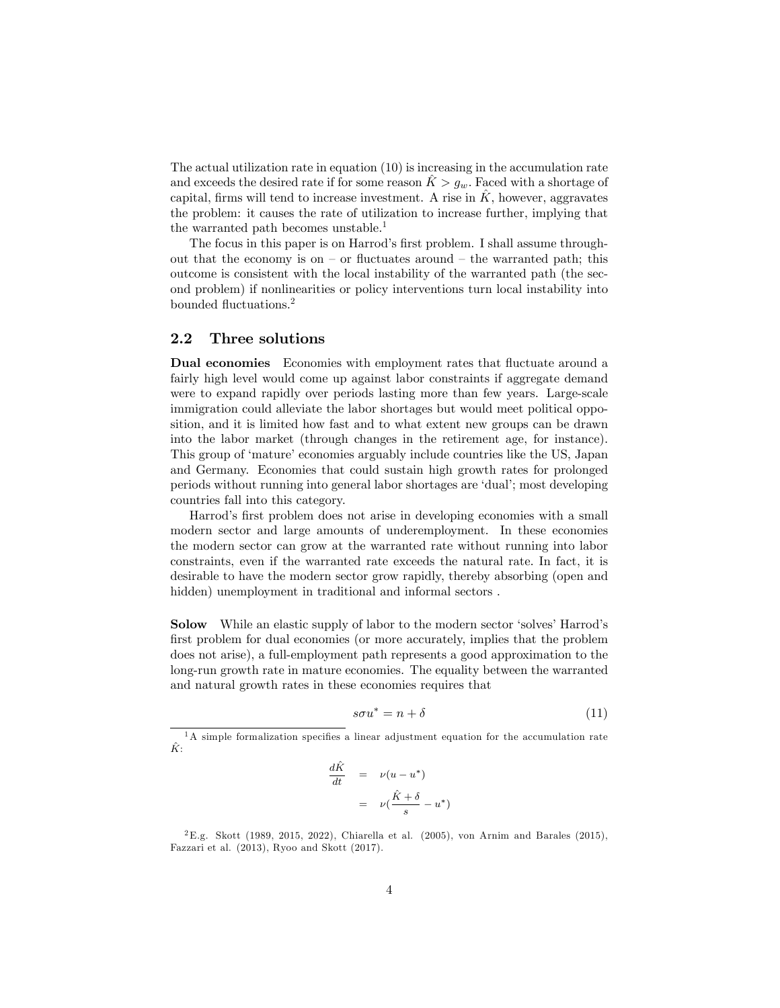The actual utilization rate in equation (10) is increasing in the accumulation rate and exceeds the desired rate if for some reason  $\hat{K} > g_w$ . Faced with a shortage of capital, firms will tend to increase investment. A rise in  $K$ , however, aggravates the problem: it causes the rate of utilization to increase further, implying that the warranted path becomes unstable.<sup>1</sup>

The focus in this paper is on Harrod's first problem. I shall assume throughout that the economy is on  $-$  or fluctuates around  $-$  the warranted path; this outcome is consistent with the local instability of the warranted path (the second problem) if nonlinearities or policy interventions turn local instability into bounded fluctuations.<sup>2</sup>

#### 2.2 Three solutions

Dual economies Economies with employment rates that fluctuate around a fairly high level would come up against labor constraints if aggregate demand were to expand rapidly over periods lasting more than few years. Large-scale immigration could alleviate the labor shortages but would meet political opposition, and it is limited how fast and to what extent new groups can be drawn into the labor market (through changes in the retirement age, for instance). This group of 'mature' economies arguably include countries like the US, Japan and Germany. Economies that could sustain high growth rates for prolonged periods without running into general labor shortages are ëdualí; most developing countries fall into this category.

Harrod's first problem does not arise in developing economies with a small modern sector and large amounts of underemployment. In these economies the modern sector can grow at the warranted rate without running into labor constraints, even if the warranted rate exceeds the natural rate. In fact, it is desirable to have the modern sector grow rapidly, thereby absorbing (open and hidden) unemployment in traditional and informal sectors.

Solow While an elastic supply of labor to the modern sector 'solves' Harrod's first problem for dual economies (or more accurately, implies that the problem does not arise), a full-employment path represents a good approximation to the long-run growth rate in mature economies. The equality between the warranted and natural growth rates in these economies requires that

$$
s\sigma u^* = n + \delta \tag{11}
$$

$$
\frac{d\hat{K}}{dt} = \nu(u - u^*)
$$

$$
= \nu(\frac{\hat{K} + \delta}{s} - u^*)
$$

<sup>2</sup>E.g. Skott (1989, 2015, 2022), Chiarella et al. (2005), von Arnim and Barales (2015), Fazzari et al. (2013), Ryoo and Skott (2017).

 $1A$  simple formalization specifies a linear adjustment equation for the accumulation rate  $\hat K$ :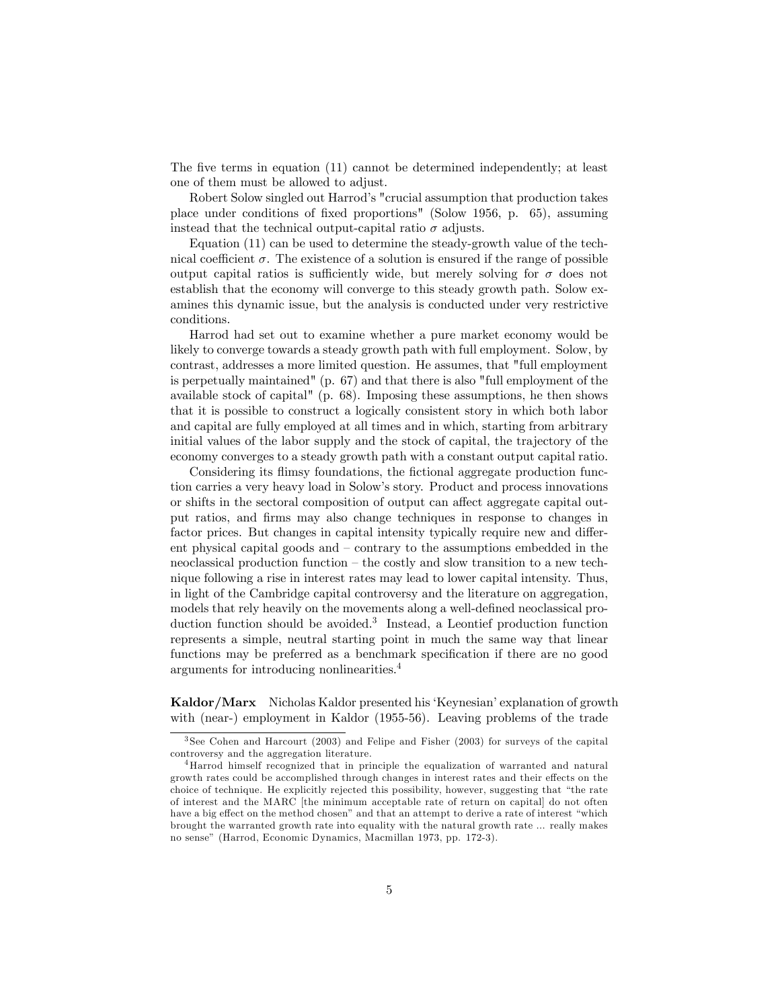The five terms in equation  $(11)$  cannot be determined independently; at least one of them must be allowed to adjust.

Robert Solow singled out Harrodís "crucial assumption that production takes place under conditions of Öxed proportions" (Solow 1956, p. 65), assuming instead that the technical output-capital ratio  $\sigma$  adjusts.

Equation (11) can be used to determine the steady-growth value of the technical coefficient  $\sigma$ . The existence of a solution is ensured if the range of possible output capital ratios is sufficiently wide, but merely solving for  $\sigma$  does not establish that the economy will converge to this steady growth path. Solow examines this dynamic issue, but the analysis is conducted under very restrictive conditions.

Harrod had set out to examine whether a pure market economy would be likely to converge towards a steady growth path with full employment. Solow, by contrast, addresses a more limited question. He assumes, that "full employment is perpetually maintained" (p. 67) and that there is also "full employment of the available stock of capital" (p. 68). Imposing these assumptions, he then shows that it is possible to construct a logically consistent story in which both labor and capital are fully employed at all times and in which, starting from arbitrary initial values of the labor supply and the stock of capital, the trajectory of the economy converges to a steady growth path with a constant output capital ratio.

Considering its flimsy foundations, the fictional aggregate production function carries a very heavy load in Solowís story. Product and process innovations or shifts in the sectoral composition of output can affect aggregate capital output ratios, and Örms may also change techniques in response to changes in factor prices. But changes in capital intensity typically require new and different physical capital goods and  $-$  contrary to the assumptions embedded in the neoclassical production function  $-$  the costly and slow transition to a new technique following a rise in interest rates may lead to lower capital intensity. Thus, in light of the Cambridge capital controversy and the literature on aggregation, models that rely heavily on the movements along a well-defined neoclassical production function should be avoided.<sup>3</sup> Instead, a Leontief production function represents a simple, neutral starting point in much the same way that linear functions may be preferred as a benchmark specification if there are no good arguments for introducing nonlinearities.<sup>4</sup>

Kaldor/Marx Nicholas Kaldor presented his 'Keynesian' explanation of growth with (near-) employment in Kaldor (1955-56). Leaving problems of the trade

<sup>3</sup> See Cohen and Harcourt (2003) and Felipe and Fisher (2003) for surveys of the capital controversy and the aggregation literature.

<sup>4</sup>Harrod himself recognized that in principle the equalization of warranted and natural growth rates could be accomplished through changes in interest rates and their effects on the choice of technique. He explicitly rejected this possibility, however, suggesting that "the rate of interest and the MARC [the minimum acceptable rate of return on capital] do not often have a big effect on the method chosen" and that an attempt to derive a rate of interest "which brought the warranted growth rate into equality with the natural growth rate ... really makes no sense" (Harrod, Economic Dynamics, Macmillan 1973, pp. 172-3).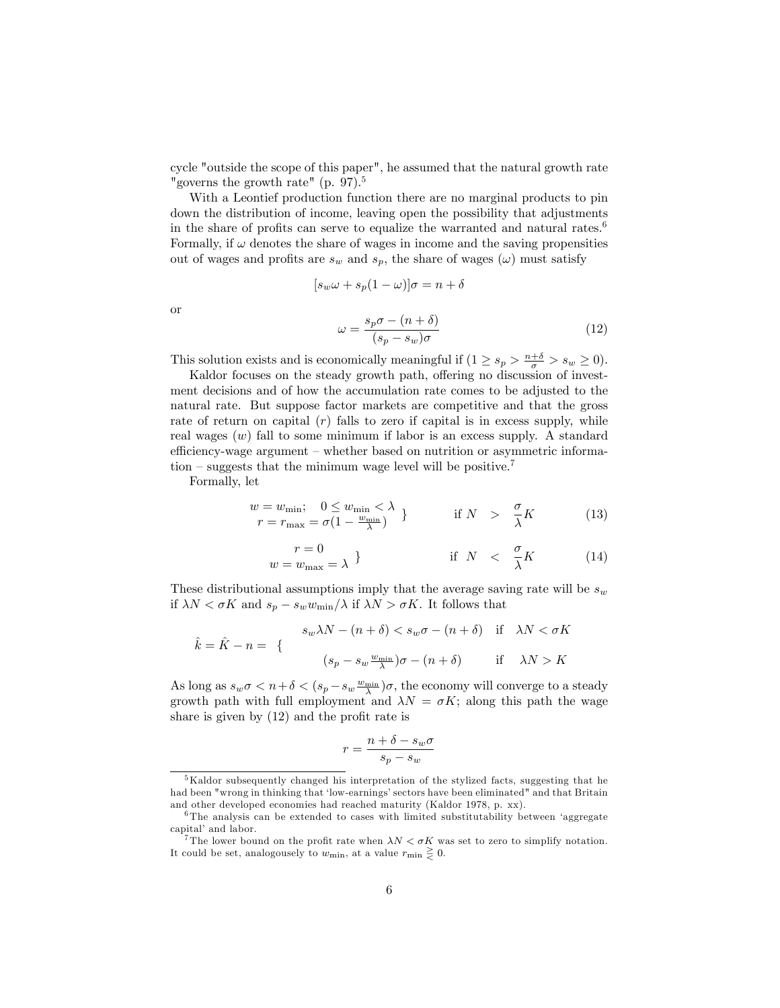cycle "outside the scope of this paper", he assumed that the natural growth rate "governs the growth rate" (p. 97).<sup>5</sup>

With a Leontief production function there are no marginal products to pin down the distribution of income, leaving open the possibility that adjustments in the share of profits can serve to equalize the warranted and natural rates.<sup>6</sup> Formally, if  $\omega$  denotes the share of wages in income and the saving propensities out of wages and profits are  $s_w$  and  $s_p$ , the share of wages  $(\omega)$  must satisfy

$$
[s_w \omega + s_p (1 - \omega)] \sigma = n + \delta
$$

$$
\omega = \frac{s_p \sigma - (n + \delta)}{(s_p - s_w) \sigma}
$$
(12)

or

This solution exists and is economically meaningful if 
$$
(1 \ge s_p > \frac{n+\delta}{\sigma} > s_w \ge 0)
$$
.

Kaldor focuses on the steady growth path, offering no discussion of investment decisions and of how the accumulation rate comes to be adjusted to the natural rate. But suppose factor markets are competitive and that the gross rate of return on capital  $(r)$  falls to zero if capital is in excess supply, while real wages  $(w)$  fall to some minimum if labor is an excess supply. A standard efficiency-wage argument – whether based on nutrition or asymmetric information  $\sim$  suggests that the minimum wage level will be positive.<sup>7</sup>

Formally, let

$$
\begin{array}{c}\n w = w_{\min}; \quad 0 \le w_{\min} < \lambda \\
 r = r_{\max} = \sigma(1 - \frac{w_{\min}}{\lambda})\n \end{array}\n \} \qquad \text{if } N \quadgt; \quad \frac{\sigma}{\lambda}K \tag{13}
$$

$$
\begin{array}{c} r = 0\\ w = w_{\text{max}} = \lambda \end{array} \qquad \qquad \text{if } N < \frac{\sigma}{\lambda} K \tag{14}
$$

These distributional assumptions imply that the average saving rate will be  $s_w$ if  $\lambda N < \sigma K$  and  $s_p - s_w w_{\min}/\lambda$  if  $\lambda N > \sigma K$ . It follows that

$$
\hat{k} = \hat{K} - n = \{ \begin{array}{c} s_w \lambda N - (n + \delta) < s_w \sigma - (n + \delta) & \text{if} \quad \lambda N < \sigma K \\ \end{array} \}
$$
\n
$$
(s_p - s_w \frac{w_{\min}}{\lambda}) \sigma - (n + \delta) \qquad \text{if} \quad \lambda N > K
$$

As long as  $s_w \sigma < n + \delta < (s_p - s_w \frac{w_{\min}}{\lambda})\sigma$ , the economy will converge to a steady growth path with full employment and  $\lambda N = \sigma K$ ; along this path the wage share is given by  $(12)$  and the profit rate is

$$
r = \frac{n + \delta - s_w \sigma}{s_p - s_w}
$$

<sup>&</sup>lt;sup>5</sup>Kaldor subsequently changed his interpretation of the stylized facts, suggesting that he had been "wrong in thinking that 'low-earnings' sectors have been eliminated" and that Britain and other developed economies had reached maturity (Kaldor 1978, p. xx).

 $6$ The analysis can be extended to cases with limited substitutability between 'aggregate capital' and labor.

<sup>&</sup>lt;sup>7</sup>The lower bound on the profit rate when  $\lambda N < \sigma K$  was set to zero to simplify notation. It could be set, analogousely to  $w_{\text{min}}$ , at a value  $r_{\text{min}} \geq 0$ .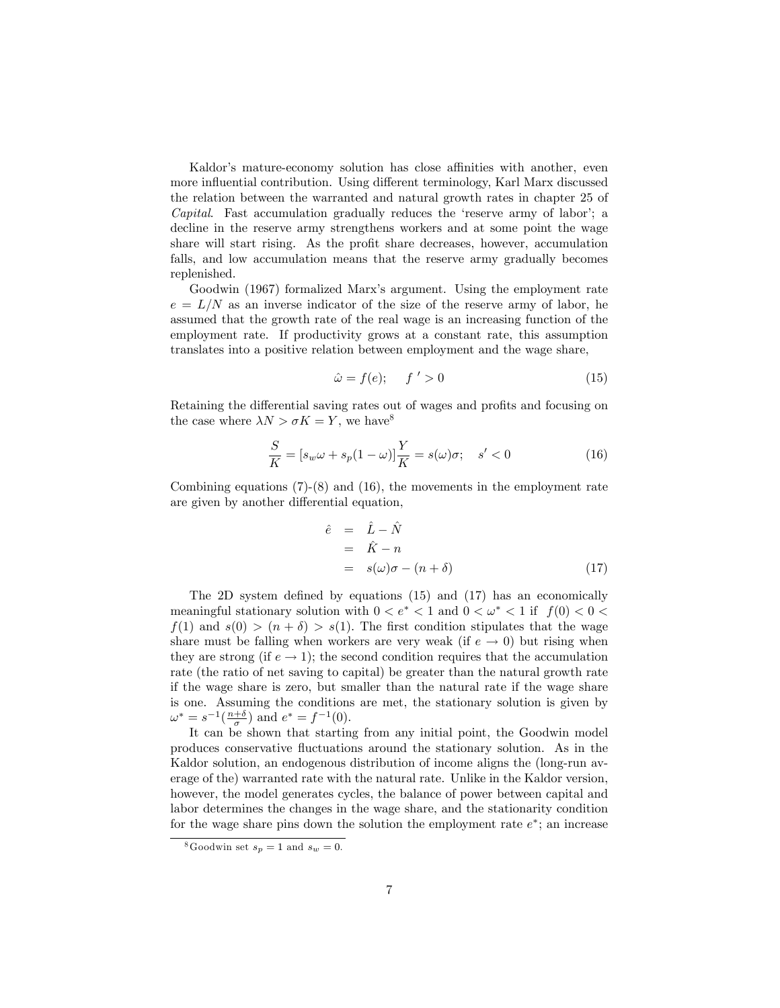Kaldor's mature-economy solution has close affinities with another, even more influential contribution. Using different terminology, Karl Marx discussed the relation between the warranted and natural growth rates in chapter 25 of *Capital.* Fast accumulation gradually reduces the 'reserve army of labor'; a decline in the reserve army strengthens workers and at some point the wage share will start rising. As the profit share decreases, however, accumulation falls, and low accumulation means that the reserve army gradually becomes replenished.

Goodwin (1967) formalized Marx's argument. Using the employment rate  $e = L/N$  as an inverse indicator of the size of the reserve army of labor, he assumed that the growth rate of the real wage is an increasing function of the employment rate. If productivity grows at a constant rate, this assumption translates into a positive relation between employment and the wage share,

$$
\hat{\omega} = f(e); \qquad f' > 0 \tag{15}
$$

Retaining the differential saving rates out of wages and profits and focusing on the case where  $\lambda N > \sigma K = Y$ , we have<sup>8</sup>

$$
\frac{S}{K} = [s_w \omega + s_p (1 - \omega)] \frac{Y}{K} = s(\omega)\sigma; \quad s' < 0 \tag{16}
$$

Combining equations (7)-(8) and (16), the movements in the employment rate are given by another differential equation,

$$
\begin{array}{rcl}\n\hat{e} & = & \hat{L} - \hat{N} \\
& = & \hat{K} - n \\
& = & s(\omega)\sigma - (n + \delta)\n\end{array} \tag{17}
$$

The 2D system defined by equations  $(15)$  and  $(17)$  has an economically meaningful stationary solution with  $0 < e^* < 1$  and  $0 < \omega^* < 1$  if  $f(0) < 0 <$  $f(1)$  and  $s(0) > (n + \delta) > s(1)$ . The first condition stipulates that the wage share must be falling when workers are very weak (if  $e \rightarrow 0$ ) but rising when they are strong (if  $e \to 1$ ); the second condition requires that the accumulation rate (the ratio of net saving to capital) be greater than the natural growth rate if the wage share is zero, but smaller than the natural rate if the wage share is one. Assuming the conditions are met, the stationary solution is given by  $\omega^* = s^{-1}(\frac{n+\delta}{\sigma})$  and  $e^* = f^{-1}(0)$ .

It can be shown that starting from any initial point, the Goodwin model produces conservative fluctuations around the stationary solution. As in the Kaldor solution, an endogenous distribution of income aligns the (long-run average of the) warranted rate with the natural rate. Unlike in the Kaldor version, however, the model generates cycles, the balance of power between capital and labor determines the changes in the wage share, and the stationarity condition for the wage share pins down the solution the employment rate  $e^*$ ; an increase

<sup>&</sup>lt;sup>8</sup>Goodwin set  $s_p = 1$  and  $s_w = 0$ .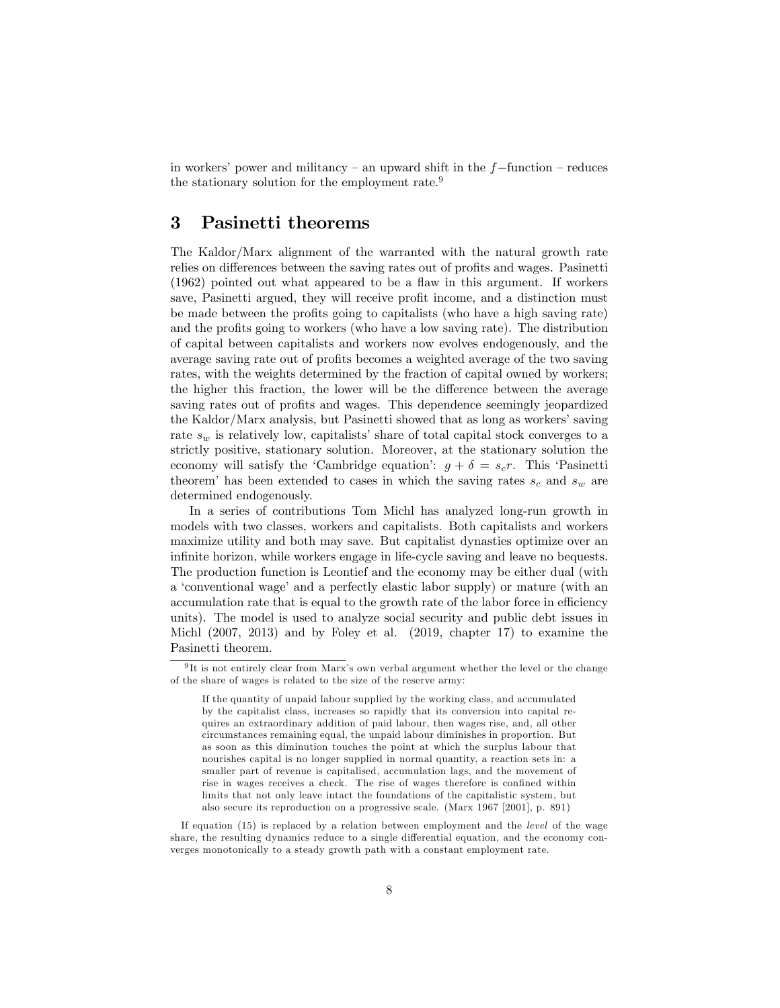in workers' power and militancy  $-$  an upward shift in the  $f$ -function  $-$  reduces the stationary solution for the employment rate.<sup>9</sup>

## 3 Pasinetti theorems

The Kaldor/Marx alignment of the warranted with the natural growth rate relies on differences between the saving rates out of profits and wages. Pasinetti  $(1962)$  pointed out what appeared to be a flaw in this argument. If workers save, Pasinetti argued, they will receive profit income, and a distinction must be made between the profits going to capitalists (who have a high saving rate) and the profits going to workers (who have a low saving rate). The distribution of capital between capitalists and workers now evolves endogenously, and the average saving rate out of profits becomes a weighted average of the two saving rates, with the weights determined by the fraction of capital owned by workers; the higher this fraction, the lower will be the difference between the average saving rates out of profits and wages. This dependence seemingly jeopardized the Kaldor/Marx analysis, but Pasinetti showed that as long as workers' saving rate  $s_w$  is relatively low, capitalists' share of total capital stock converges to a strictly positive, stationary solution. Moreover, at the stationary solution the economy will satisfy the 'Cambridge equation':  $g + \delta = s_c r$ . This 'Pasinetti theorem' has been extended to cases in which the saving rates  $s_c$  and  $s_w$  are determined endogenously.

In a series of contributions Tom Michl has analyzed long-run growth in models with two classes, workers and capitalists. Both capitalists and workers maximize utility and both may save. But capitalist dynasties optimize over an infinite horizon, while workers engage in life-cycle saving and leave no bequests. The production function is Leontief and the economy may be either dual (with a 'conventional wage' and a perfectly elastic labor supply) or mature (with an accumulation rate that is equal to the growth rate of the labor force in efficiency units). The model is used to analyze social security and public debt issues in Michl (2007, 2013) and by Foley et al. (2019, chapter 17) to examine the Pasinetti theorem.

 $9$ It is not entirely clear from Marx's own verbal argument whether the level or the change of the share of wages is related to the size of the reserve army:

If the quantity of unpaid labour supplied by the working class, and accumulated by the capitalist class, increases so rapidly that its conversion into capital requires an extraordinary addition of paid labour, then wages rise, and, all other circumstances remaining equal, the unpaid labour diminishes in proportion. But as soon as this diminution touches the point at which the surplus labour that nourishes capital is no longer supplied in normal quantity, a reaction sets in: a smaller part of revenue is capitalised, accumulation lags, and the movement of rise in wages receives a check. The rise of wages therefore is confined within limits that not only leave intact the foundations of the capitalistic system, but also secure its reproduction on a progressive scale. (Marx 1967 [2001], p. 891)

If equation (15) is replaced by a relation between employment and the level of the wage share, the resulting dynamics reduce to a single differential equation, and the economy converges monotonically to a steady growth path with a constant employment rate.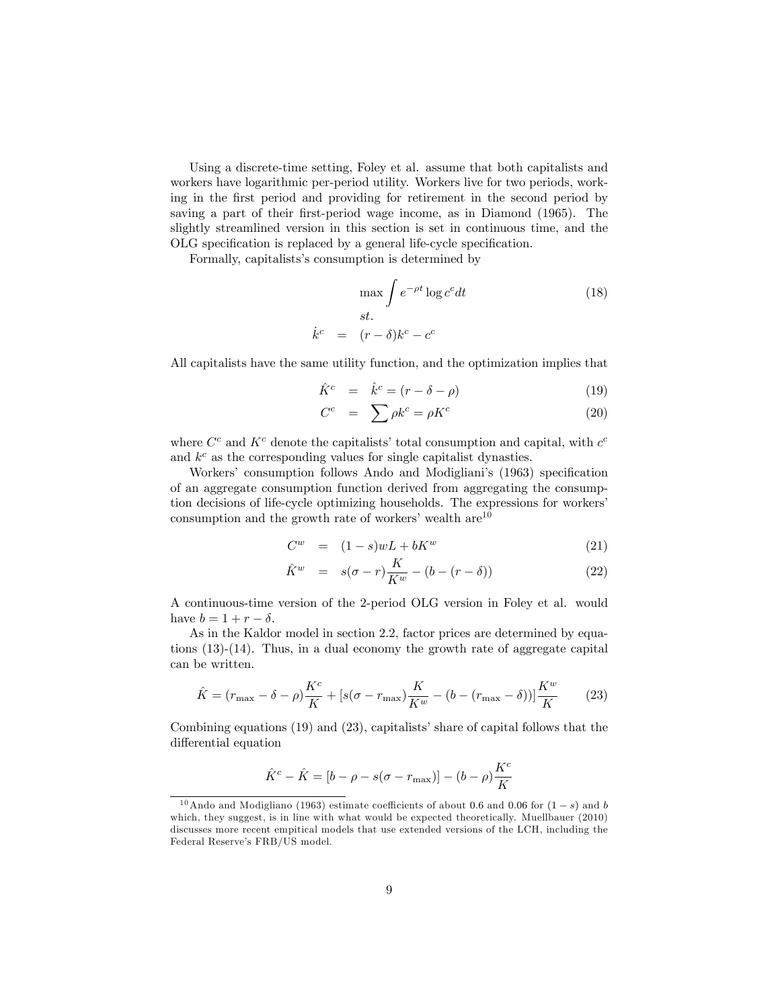Using a discrete-time setting, Foley et al. assume that both capitalists and workers have logarithmic per-period utility. Workers live for two periods, working in the Örst period and providing for retirement in the second period by saving a part of their first-period wage income, as in Diamond (1965). The slightly streamlined version in this section is set in continuous time, and the OLG specification is replaced by a general life-cycle specification.

Formally, capitalists's consumption is determined by

$$
\max \int e^{-\rho t} \log c^c dt
$$
\n
$$
st.
$$
\n
$$
\dot{k}^c = (r - \delta)k^c - c^c
$$
\n(18)

All capitalists have the same utility function, and the optimization implies that

$$
\hat{K}^c = \hat{k}^c = (r - \delta - \rho) \tag{19}
$$

$$
C^c = \sum \rho k^c = \rho K^c \tag{20}
$$

where  $C^c$  and  $K^c$  denote the capitalists' total consumption and capital, with  $c^c$ and  $k^c$  as the corresponding values for single capitalist dynasties.

Workers' consumption follows Ando and Modigliani's (1963) specification of an aggregate consumption function derived from aggregating the consumption decisions of life-cycle optimizing households. The expressions for workers' consumption and the growth rate of workers' wealth  $are^{10}$ 

$$
C^w = (1 - s)wL + bK^w \tag{21}
$$

$$
\hat{K}^w = s(\sigma - r)\frac{K}{K^w} - (b - (r - \delta))
$$
\n(22)

A continuous-time version of the 2-period OLG version in Foley et al. would have  $b = 1 + r - \delta$ .

As in the Kaldor model in section 2.2, factor prices are determined by equations (13)-(14). Thus, in a dual economy the growth rate of aggregate capital can be written.

$$
\hat{K} = (r_{\text{max}} - \delta - \rho) \frac{K^c}{K} + [s(\sigma - r_{\text{max}}) \frac{K}{K^w} - (b - (r_{\text{max}} - \delta))] \frac{K^w}{K}
$$
(23)

Combining equations  $(19)$  and  $(23)$ , capitalists' share of capital follows that the differential equation

$$
\hat{K}^c - \hat{K} = [b - \rho - s(\sigma - r_{\text{max}})] - (b - \rho)\frac{K^c}{K}
$$

<sup>&</sup>lt;sup>10</sup>Ando and Modigliano (1963) estimate coefficients of about 0.6 and 0.06 for  $(1-s)$  and b which, they suggest, is in line with what would be expected theoretically. Muellbauer (2010) discusses more recent empitical models that use extended versions of the LCH, including the Federal Reserve's FRB/US model.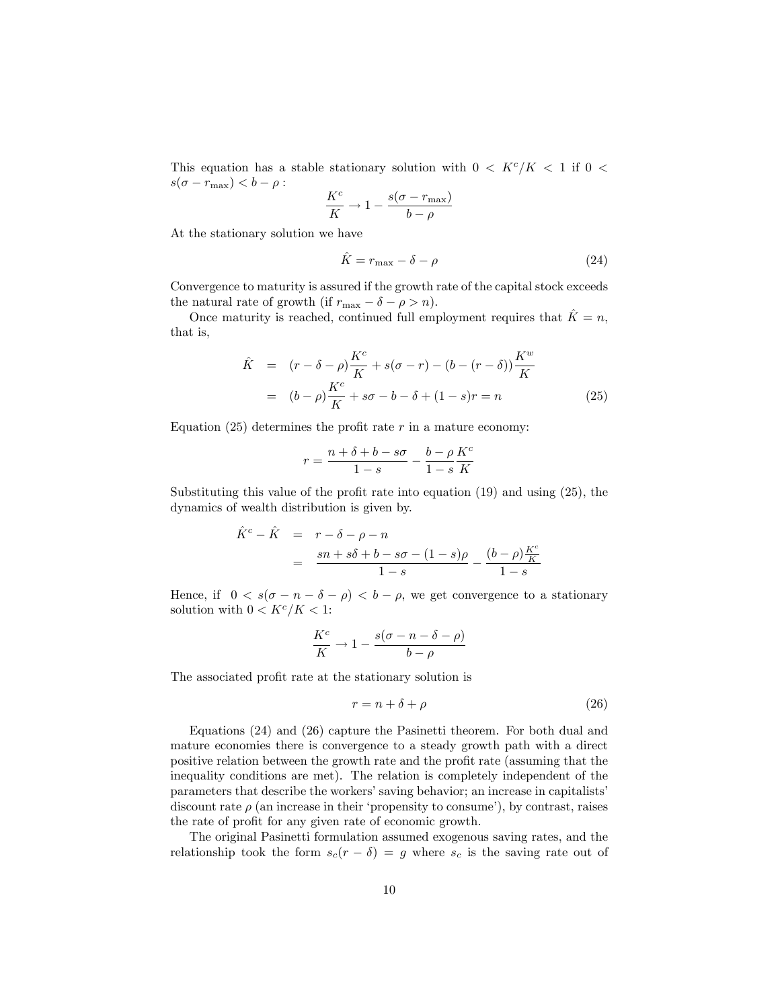This equation has a stable stationary solution with  $0 < K^{c}/K < 1$  if  $0 <$  $s(\sigma - r_{\text{max}}) < b - \rho$ :

$$
\frac{K^c}{K} \to 1 - \frac{s(\sigma - r_{\text{max}})}{b - \rho}
$$

At the stationary solution we have

$$
\hat{K} = r_{\text{max}} - \delta - \rho \tag{24}
$$

Convergence to maturity is assured if the growth rate of the capital stock exceeds the natural rate of growth (if  $r_{\text{max}} - \delta - \rho > n$ ).

Once maturity is reached, continued full employment requires that  $\hat{K} = n$ , that is,

$$
\hat{K} = (r - \delta - \rho) \frac{K^c}{K} + s(\sigma - r) - (b - (r - \delta)) \frac{K^w}{K}
$$
\n
$$
= (b - \rho) \frac{K^c}{K} + s\sigma - b - \delta + (1 - s)r = n \tag{25}
$$

Equation (25) determines the profit rate  $r$  in a mature economy:

$$
r = \frac{n + \delta + b - s\sigma}{1 - s} - \frac{b - \rho}{1 - s} \frac{K^c}{K}
$$

Substituting this value of the profit rate into equation  $(19)$  and using  $(25)$ , the dynamics of wealth distribution is given by.

$$
\hat{K}^c - \hat{K} = r - \delta - \rho - n
$$
  
= 
$$
\frac{sn + s\delta + b - s\sigma - (1 - s)\rho}{1 - s} - \frac{(b - \rho)\frac{K^c}{K}}{1 - s}
$$

Hence, if  $0 < s(\sigma - n - \delta - \rho) < b - \rho$ , we get convergence to a stationary solution with  $0 < K^c/K < 1$ :

$$
\frac{K^c}{K} \to 1 - \frac{s(\sigma - n - \delta - \rho)}{b - \rho}
$$

The associated profit rate at the stationary solution is

$$
r = n + \delta + \rho \tag{26}
$$

Equations (24) and (26) capture the Pasinetti theorem. For both dual and mature economies there is convergence to a steady growth path with a direct positive relation between the growth rate and the profit rate (assuming that the inequality conditions are met). The relation is completely independent of the parameters that describe the workers' saving behavior; an increase in capitalists' discount rate  $\rho$  (an increase in their 'propensity to consume'), by contrast, raises the rate of profit for any given rate of economic growth.

The original Pasinetti formulation assumed exogenous saving rates, and the relationship took the form  $s_c(r - \delta) = g$  where  $s_c$  is the saving rate out of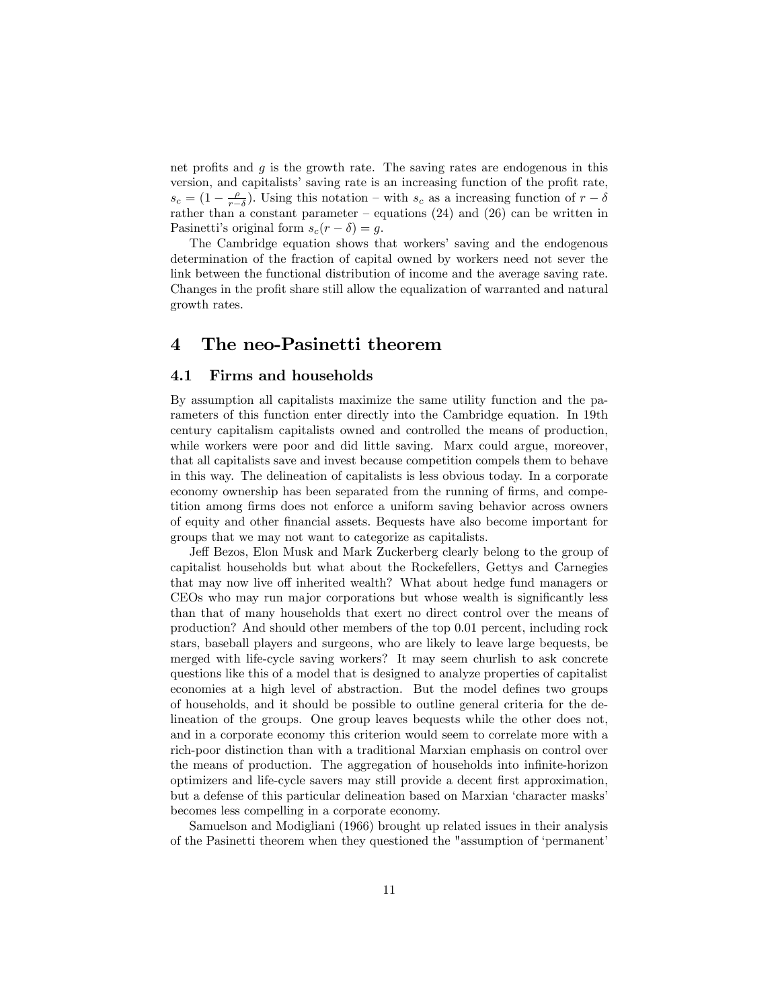net profits and  $g$  is the growth rate. The saving rates are endogenous in this version, and capitalists' saving rate is an increasing function of the profit rate,  $s_c = (1 - \frac{\rho}{r-\delta})$ . Using this notation – with  $s_c$  as a increasing function of  $r-\delta$ rather than a constant parameter – equations  $(24)$  and  $(26)$  can be written in Pasinetti's original form  $s_c(r - \delta) = q$ .

The Cambridge equation shows that workers' saving and the endogenous determination of the fraction of capital owned by workers need not sever the link between the functional distribution of income and the average saving rate. Changes in the profit share still allow the equalization of warranted and natural growth rates.

## 4 The neo-Pasinetti theorem

#### 4.1 Firms and households

By assumption all capitalists maximize the same utility function and the parameters of this function enter directly into the Cambridge equation. In 19th century capitalism capitalists owned and controlled the means of production, while workers were poor and did little saving. Marx could argue, moreover, that all capitalists save and invest because competition compels them to behave in this way. The delineation of capitalists is less obvious today. In a corporate economy ownership has been separated from the running of firms, and competition among Örms does not enforce a uniform saving behavior across owners of equity and other Önancial assets. Bequests have also become important for groups that we may not want to categorize as capitalists.

Jeff Bezos, Elon Musk and Mark Zuckerberg clearly belong to the group of capitalist households but what about the Rockefellers, Gettys and Carnegies that may now live off inherited wealth? What about hedge fund managers or CEOs who may run major corporations but whose wealth is significantly less than that of many households that exert no direct control over the means of production? And should other members of the top 0.01 percent, including rock stars, baseball players and surgeons, who are likely to leave large bequests, be merged with life-cycle saving workers? It may seem churlish to ask concrete questions like this of a model that is designed to analyze properties of capitalist economies at a high level of abstraction. But the model defines two groups of households, and it should be possible to outline general criteria for the delineation of the groups. One group leaves bequests while the other does not, and in a corporate economy this criterion would seem to correlate more with a rich-poor distinction than with a traditional Marxian emphasis on control over the means of production. The aggregation of households into infinite-horizon optimizers and life-cycle savers may still provide a decent Örst approximation, but a defense of this particular delineation based on Marxian 'character masks' becomes less compelling in a corporate economy.

Samuelson and Modigliani (1966) brought up related issues in their analysis of the Pasinetti theorem when they questioned the "assumption of ëpermanentí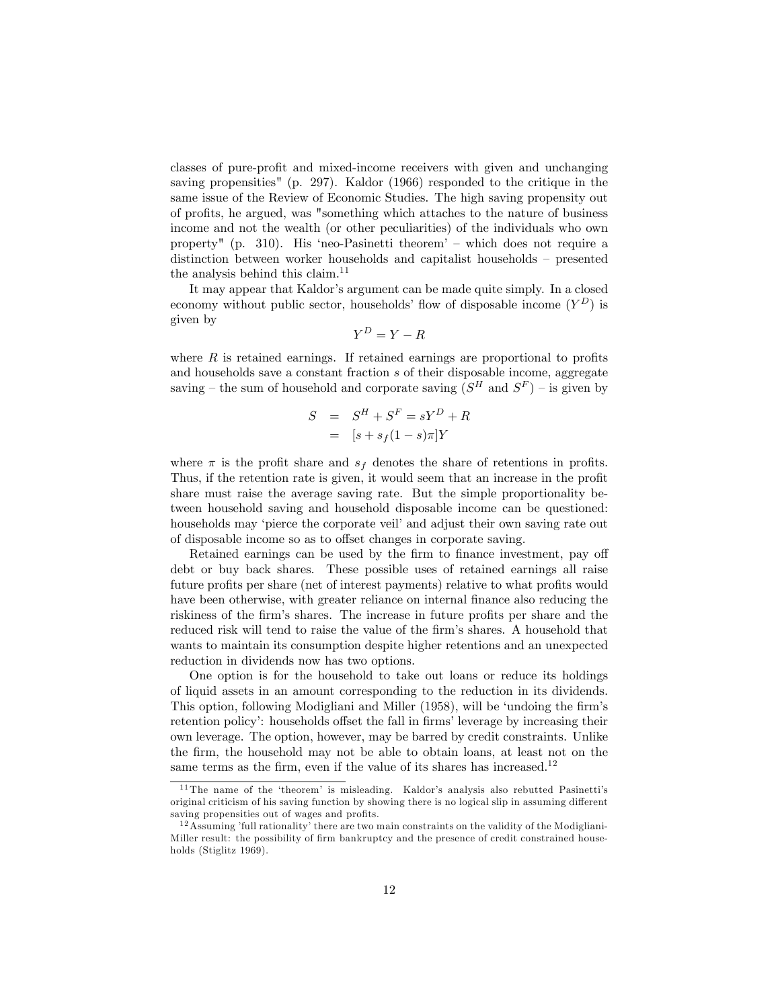classes of pure-profit and mixed-income receivers with given and unchanging saving propensities" (p. 297). Kaldor (1966) responded to the critique in the same issue of the Review of Economic Studies. The high saving propensity out of proÖts, he argued, was "something which attaches to the nature of business income and not the wealth (or other peculiarities) of the individuals who own property" (p. 310). His 'neo-Pasinetti theorem'  $-$  which does not require a distinction between worker households and capitalist households  $-$  presented the analysis behind this claim.<sup>11</sup>

It may appear that Kaldor's argument can be made quite simply. In a closed economy without public sector, households' flow of disposable income  $(Y^D)$  is given by

$$
Y^D = Y - R
$$

where  $R$  is retained earnings. If retained earnings are proportional to profits and households save a constant fraction s of their disposable income, aggregate saving – the sum of household and corporate saving  $(S^H$  and  $S^F)$  – is given by

$$
S = SH + SF = sYD + R
$$

$$
= [s + sf(1 - s)\pi]Y
$$

where  $\pi$  is the profit share and  $s_f$  denotes the share of retentions in profits. Thus, if the retention rate is given, it would seem that an increase in the profit share must raise the average saving rate. But the simple proportionality between household saving and household disposable income can be questioned: households may 'pierce the corporate veil' and adjust their own saving rate out of disposable income so as to offset changes in corporate saving.

Retained earnings can be used by the firm to finance investment, pay off debt or buy back shares. These possible uses of retained earnings all raise future profits per share (net of interest payments) relative to what profits would have been otherwise, with greater reliance on internal finance also reducing the riskiness of the firm's shares. The increase in future profits per share and the reduced risk will tend to raise the value of the firm's shares. A household that wants to maintain its consumption despite higher retentions and an unexpected reduction in dividends now has two options.

One option is for the household to take out loans or reduce its holdings of liquid assets in an amount corresponding to the reduction in its dividends. This option, following Modigliani and Miller (1958), will be 'undoing the firm's retention policy: households offset the fall in firms' leverage by increasing their own leverage. The option, however, may be barred by credit constraints. Unlike the Örm, the household may not be able to obtain loans, at least not on the same terms as the firm, even if the value of its shares has increased.<sup>12</sup>

<sup>&</sup>lt;sup>11</sup> The name of the 'theorem' is misleading. Kaldor's analysis also rebutted Pasinetti's original criticism of his saving function by showing there is no logical slip in assuming different saving propensities out of wages and profits.

 $12$  Assuming 'full rationality' there are two main constraints on the validity of the Modigliani-Miller result: the possibility of firm bankruptcy and the presence of credit constrained households (Stiglitz 1969).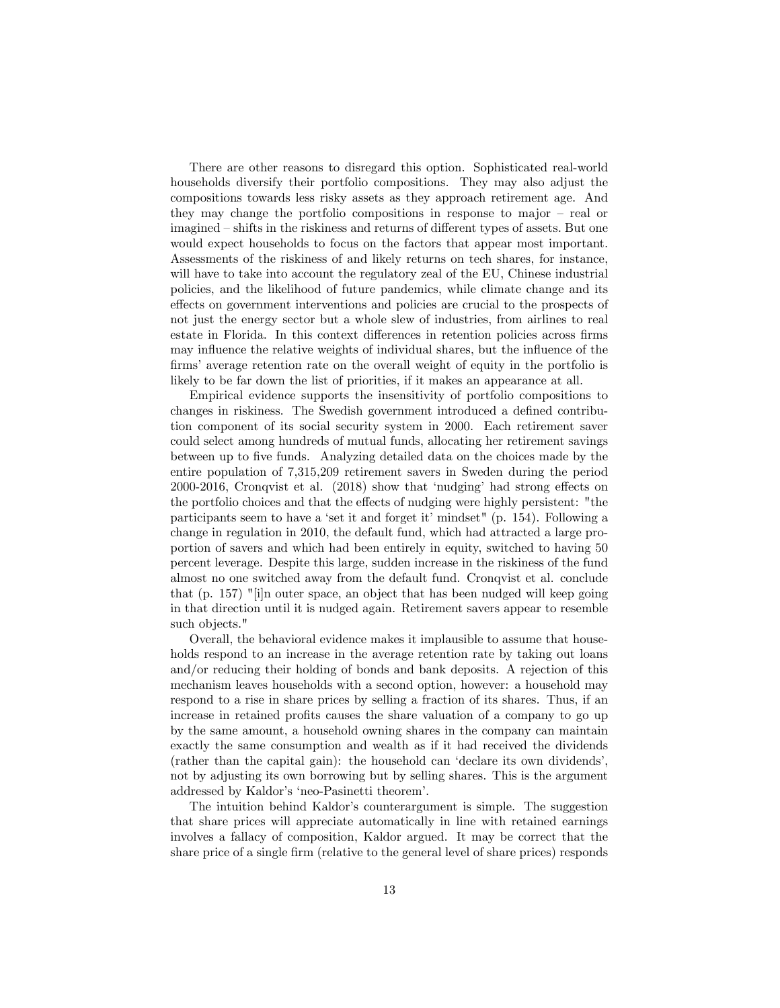There are other reasons to disregard this option. Sophisticated real-world households diversify their portfolio compositions. They may also adjust the compositions towards less risky assets as they approach retirement age. And they may change the portfolio compositions in response to major  $-$  real or imagined – shifts in the riskiness and returns of different types of assets. But one would expect households to focus on the factors that appear most important. Assessments of the riskiness of and likely returns on tech shares, for instance, will have to take into account the regulatory zeal of the EU, Chinese industrial policies, and the likelihood of future pandemics, while climate change and its effects on government interventions and policies are crucial to the prospects of not just the energy sector but a whole slew of industries, from airlines to real estate in Florida. In this context differences in retention policies across firms may influence the relative weights of individual shares, but the influence of the firms' average retention rate on the overall weight of equity in the portfolio is likely to be far down the list of priorities, if it makes an appearance at all.

Empirical evidence supports the insensitivity of portfolio compositions to changes in riskiness. The Swedish government introduced a defined contribution component of its social security system in 2000. Each retirement saver could select among hundreds of mutual funds, allocating her retirement savings between up to Öve funds. Analyzing detailed data on the choices made by the entire population of 7,315,209 retirement savers in Sweden during the period 2000-2016, Cronqvist et al.  $(2018)$  show that 'nudging' had strong effects on the portfolio choices and that the effects of nudging were highly persistent: "the participants seem to have a 'set it and forget it' mindset" (p. 154). Following a change in regulation in 2010, the default fund, which had attracted a large proportion of savers and which had been entirely in equity, switched to having 50 percent leverage. Despite this large, sudden increase in the riskiness of the fund almost no one switched away from the default fund. Cronqvist et al. conclude that (p. 157) "[i]n outer space, an object that has been nudged will keep going in that direction until it is nudged again. Retirement savers appear to resemble such objects."

Overall, the behavioral evidence makes it implausible to assume that households respond to an increase in the average retention rate by taking out loans and/or reducing their holding of bonds and bank deposits. A rejection of this mechanism leaves households with a second option, however: a household may respond to a rise in share prices by selling a fraction of its shares. Thus, if an increase in retained profits causes the share valuation of a company to go up by the same amount, a household owning shares in the company can maintain exactly the same consumption and wealth as if it had received the dividends (rather than the capital gain): the household can ëdeclare its own dividendsí, not by adjusting its own borrowing but by selling shares. This is the argument addressed by Kaldor's 'neo-Pasinetti theorem'.

The intuition behind Kaldor's counterargument is simple. The suggestion that share prices will appreciate automatically in line with retained earnings involves a fallacy of composition, Kaldor argued. It may be correct that the share price of a single firm (relative to the general level of share prices) responds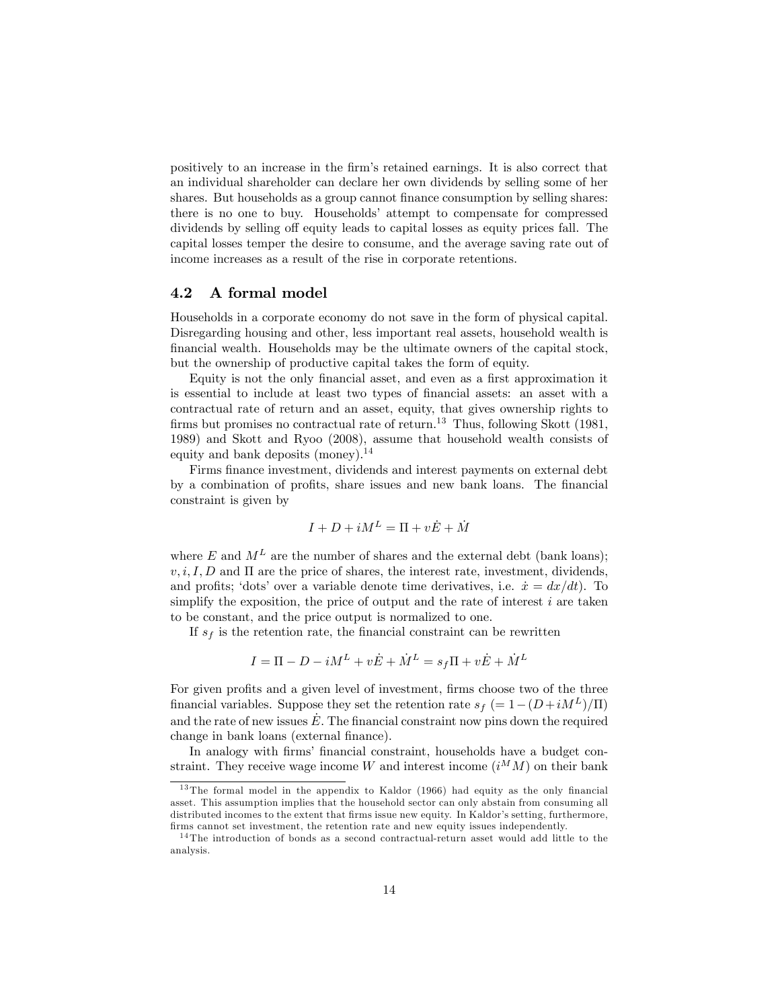positively to an increase in the Örmís retained earnings. It is also correct that an individual shareholder can declare her own dividends by selling some of her shares. But households as a group cannot finance consumption by selling shares: there is no one to buy. Households' attempt to compensate for compressed dividends by selling off equity leads to capital losses as equity prices fall. The capital losses temper the desire to consume, and the average saving rate out of income increases as a result of the rise in corporate retentions.

#### 4.2 A formal model

Households in a corporate economy do not save in the form of physical capital. Disregarding housing and other, less important real assets, household wealth is Önancial wealth. Households may be the ultimate owners of the capital stock, but the ownership of productive capital takes the form of equity.

Equity is not the only financial asset, and even as a first approximation it is essential to include at least two types of Önancial assets: an asset with a contractual rate of return and an asset, equity, that gives ownership rights to firms but promises no contractual rate of return.<sup>13</sup> Thus, following Skott (1981, 1989) and Skott and Ryoo (2008), assume that household wealth consists of equity and bank deposits (money).<sup>14</sup>

Firms finance investment, dividends and interest payments on external debt by a combination of profits, share issues and new bank loans. The financial constraint is given by

$$
I + D + iM^{L} = \Pi + v\dot{E} + \dot{M}
$$

where E and  $M<sup>L</sup>$  are the number of shares and the external debt (bank loans);  $v, i, I, D$  and  $\Pi$  are the price of shares, the interest rate, investment, dividends, and profits; 'dots' over a variable denote time derivatives, i.e.  $\dot{x} = dx/dt$ . To simplify the exposition, the price of output and the rate of interest  $i$  are taken to be constant, and the price output is normalized to one.

If  $s_f$  is the retention rate, the financial constraint can be rewritten

$$
I = \Pi - D - iM^L + v\dot{E} + \dot{M}^L = s_f\Pi + v\dot{E} + \dot{M}^L
$$

For given profits and a given level of investment, firms choose two of the three financial variables. Suppose they set the retention rate  $s_f = 1-(D+iM^L)/\Pi$ and the rate of new issues  $\dot{E}$ . The financial constraint now pins down the required change in bank loans (external finance).

In analogy with firms' financial constraint, households have a budget constraint. They receive wage income W and interest income  $(i^M M)$  on their bank

 $13$  The formal model in the appendix to Kaldor (1966) had equity as the only financial asset. This assumption implies that the household sector can only abstain from consuming all distributed incomes to the extent that firms issue new equity. In Kaldor's setting, furthermore, firms cannot set investment, the retention rate and new equity issues independently.

<sup>1 4</sup> The introduction of bonds as a second contractual-return asset would add little to the analysis.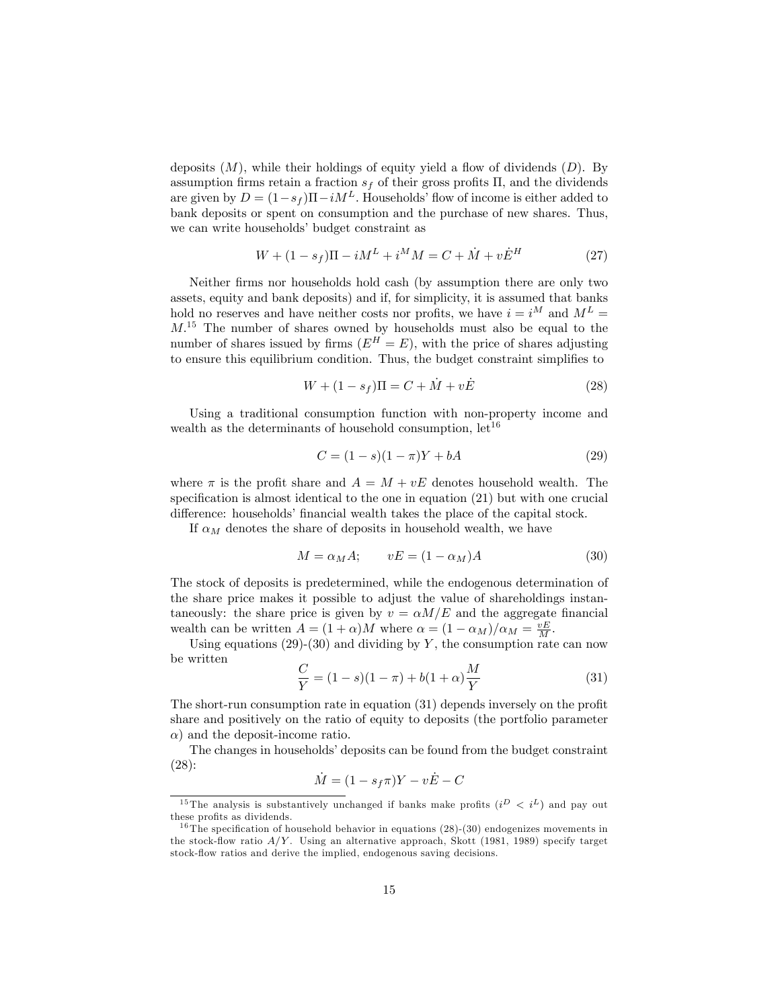deposits  $(M)$ , while their holdings of equity yield a flow of dividends  $(D)$ . By assumption firms retain a fraction  $s_f$  of their gross profits  $\Pi$ , and the dividends are given by  $D = (1-s_f)\Pi - iM^L$ . Households' flow of income is either added to bank deposits or spent on consumption and the purchase of new shares. Thus, we can write households' budget constraint as

$$
W + (1 - s_f)\Pi - iM^L + i^M M = C + \dot{M} + v\dot{E}^H
$$
 (27)

Neither firms nor households hold cash (by assumption there are only two assets, equity and bank deposits) and if, for simplicity, it is assumed that banks hold no reserves and have neither costs nor profits, we have  $i = i^M$  and  $M^L =$  $M<sup>15</sup>$ . The number of shares owned by households must also be equal to the number of shares issued by firms  $(E^H = E)$ , with the price of shares adjusting to ensure this equilibrium condition. Thus, the budget constraint simplifies to

$$
W + (1 - s_f)\Pi = C + \dot{M} + v\dot{E}
$$
 (28)

Using a traditional consumption function with non-property income and wealth as the determinants of household consumption,  $let^{16}$ 

$$
C = (1 - s)(1 - \pi)Y + bA
$$
\n(29)

where  $\pi$  is the profit share and  $A = M + vE$  denotes household wealth. The specification is almost identical to the one in equation  $(21)$  but with one crucial difference: households' financial wealth takes the place of the capital stock.

If  $\alpha_M$  denotes the share of deposits in household wealth, we have

$$
M = \alpha_M A; \qquad vE = (1 - \alpha_M)A \tag{30}
$$

The stock of deposits is predetermined, while the endogenous determination of the share price makes it possible to adjust the value of shareholdings instantaneously: the share price is given by  $v = \alpha M/E$  and the aggregate financial wealth can be written  $A = (1 + \alpha)M$  where  $\alpha = (1 - \alpha_M)/\alpha_M = \frac{vE}{M}$ .

Using equations (29)-(30) and dividing by Y, the consumption rate can now be written

$$
\frac{C}{Y} = (1 - s)(1 - \pi) + b(1 + \alpha)\frac{M}{Y}
$$
\n(31)

The short-run consumption rate in equation  $(31)$  depends inversely on the profit share and positively on the ratio of equity to deposits (the portfolio parameter  $\alpha$ ) and the deposit-income ratio.

The changes in households' deposits can be found from the budget constraint (28):

$$
\dot{M} = (1 - s_f \pi)Y - v\dot{E} - C
$$

<sup>&</sup>lt;sup>15</sup> The analysis is substantively unchanged if banks make profits  $(i^D \langle i^L \rangle)$  and pay out these profits as dividends.

<sup>&</sup>lt;sup>16</sup> The specification of household behavior in equations  $(28)-(30)$  endogenizes movements in the stock-flow ratio  $A/Y$ . Using an alternative approach, Skott (1981, 1989) specify target stock-flow ratios and derive the implied, endogenous saving decisions.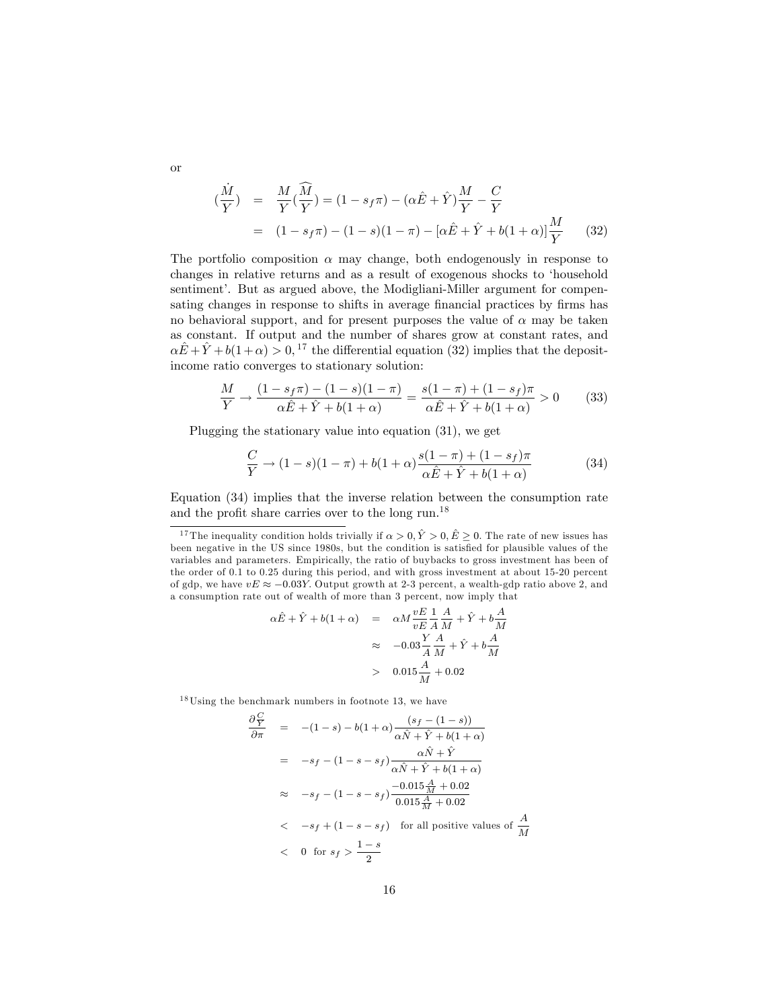or

$$
\begin{aligned}\n(\frac{\dot{M}}{Y}) &= \frac{M}{Y}(\frac{\widehat{M}}{Y}) = (1 - s_f \pi) - (\alpha \hat{E} + \hat{Y}) \frac{M}{Y} - \frac{C}{Y} \\
&= (1 - s_f \pi) - (1 - s)(1 - \pi) - [\alpha \hat{E} + \hat{Y} + b(1 + \alpha)] \frac{M}{Y}\n\end{aligned} \tag{32}
$$

The portfolio composition  $\alpha$  may change, both endogenously in response to changes in relative returns and as a result of exogenous shocks to ëhousehold sentiment'. But as argued above, the Modigliani-Miller argument for compensating changes in response to shifts in average financial practices by firms has no behavioral support, and for present purposes the value of  $\alpha$  may be taken as constant. If output and the number of shares grow at constant rates, and  $\alpha \hat{E} + \hat{Y} + b(1 + \alpha) > 0$ , <sup>17</sup> the differential equation (32) implies that the depositincome ratio converges to stationary solution:

$$
\frac{M}{Y} \to \frac{(1 - s_f \pi) - (1 - s)(1 - \pi)}{\alpha \hat{E} + \hat{Y} + b(1 + \alpha)} = \frac{s(1 - \pi) + (1 - s_f)\pi}{\alpha \hat{E} + \hat{Y} + b(1 + \alpha)} > 0
$$
(33)

Plugging the stationary value into equation (31), we get

$$
\frac{C}{Y} \to (1 - s)(1 - \pi) + b(1 + \alpha) \frac{s(1 - \pi) + (1 - s_f)\pi}{\alpha \hat{E} + \hat{Y} + b(1 + \alpha)}
$$
(34)

Equation (34) implies that the inverse relation between the consumption rate and the profit share carries over to the long run.<sup>18</sup>

$$
\alpha \hat{E} + \hat{Y} + b(1 + \alpha) = \alpha M \frac{vE}{vE} \frac{1}{A} \frac{A}{M} + \hat{Y} + b \frac{A}{M}
$$

$$
\approx -0.03 \frac{Y}{A} \frac{A}{M} + \hat{Y} + b \frac{A}{M}
$$

$$
> 0.015 \frac{A}{M} + 0.02
$$

 $18$ Using the benchmark numbers in footnote 13, we have

$$
\frac{\partial \frac{C}{Y}}{\partial \pi} = -(1-s) - b(1+\alpha) \frac{(s_f - (1-s))}{\alpha \hat{N} + \hat{Y} + b(1+\alpha)}
$$
  
\n
$$
= -s_f - (1-s-s_f) \frac{\alpha \hat{N} + \hat{Y}}{\alpha \hat{N} + \hat{Y} + b(1+\alpha)}
$$
  
\n
$$
\approx -s_f - (1-s-s_f) \frac{-0.015 \frac{A}{M} + 0.02}{0.015 \frac{A}{M} + 0.02}
$$
  
\n
$$
< -s_f + (1-s-s_f) \text{ for all positive values of } \frac{A}{M}
$$
  
\n
$$
< 0 \text{ for } s_f > \frac{1-s}{2}
$$

<sup>&</sup>lt;sup>17</sup> The inequality condition holds trivially if  $\alpha > 0$ ,  $\hat{Y} > 0$ ,  $\hat{E} \ge 0$ . The rate of new issues has been negative in the US since 1980s, but the condition is satisfied for plausible values of the variables and parameters. Empirically, the ratio of buybacks to gross investment has been of the order of 0.1 to 0.25 during this period, and with gross investment at about 15-20 percent of gdp, we have  $vE \approx -0.03Y$ . Output growth at 2-3 percent, a wealth-gdp ratio above 2, and a consumption rate out of wealth of more than 3 percent, now imply that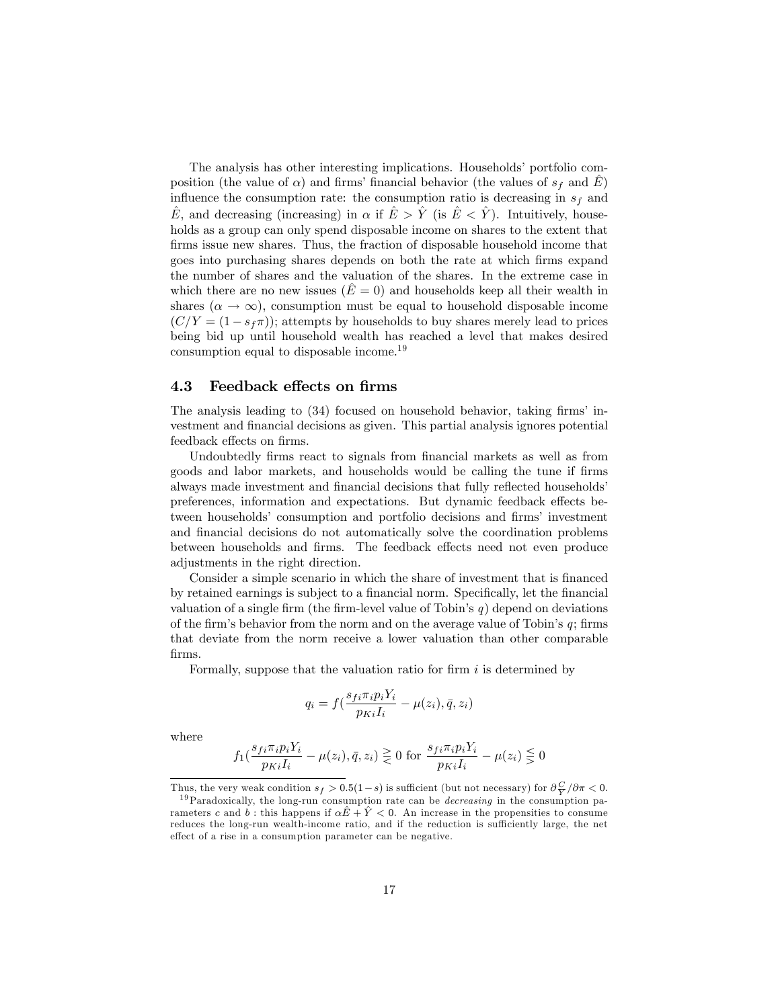The analysis has other interesting implications. Households' portfolio composition (the value of  $\alpha$ ) and firms' financial behavior (the values of  $s_f$  and E) influence the consumption rate: the consumption ratio is decreasing in  $s_f$  and  $\hat{E}$ , and decreasing (increasing) in  $\alpha$  if  $\hat{E} > \hat{Y}$  (is  $\hat{E} < \hat{Y}$ ). Intuitively, households as a group can only spend disposable income on shares to the extent that firms issue new shares. Thus, the fraction of disposable household income that goes into purchasing shares depends on both the rate at which Örms expand the number of shares and the valuation of the shares. In the extreme case in which there are no new issues  $(E = 0)$  and households keep all their wealth in shares  $(\alpha \to \infty)$ , consumption must be equal to household disposable income  $(C/Y = (1 - s_f\pi))$ ; attempts by households to buy shares merely lead to prices being bid up until household wealth has reached a level that makes desired consumption equal to disposable income.<sup>19</sup>

#### 4.3 Feedback effects on firms

The analysis leading to  $(34)$  focused on household behavior, taking firms' investment and financial decisions as given. This partial analysis ignores potential feedback effects on firms.

Undoubtedly firms react to signals from financial markets as well as from goods and labor markets, and households would be calling the tune if Örms always made investment and financial decisions that fully reflected households<sup>'</sup> preferences, information and expectations. But dynamic feedback effects between households<sup>'</sup> consumption and portfolio decisions and firms' investment and financial decisions do not automatically solve the coordination problems between households and firms. The feedback effects need not even produce adjustments in the right direction.

Consider a simple scenario in which the share of investment that is financed by retained earnings is subject to a financial norm. Specifically, let the financial valuation of a single firm (the firm-level value of Tobin's  $q$ ) depend on deviations of the firm's behavior from the norm and on the average value of Tobin's  $q$ ; firms that deviate from the norm receive a lower valuation than other comparable Örms.

Formally, suppose that the valuation ratio for firm  $i$  is determined by

$$
q_i = f\left(\frac{s_{fi}\pi_i p_i Y_i}{p_{Ki}I_i} - \mu(z_i), \bar{q}, z_i\right)
$$

where

$$
f_1(\frac{s_{fi}\pi_i p_i Y_i}{p_{Ki}I_i} - \mu(z_i), \bar{q}, z_i) \geq 0 \text{ for } \frac{s_{fi}\pi_i p_i Y_i}{p_{Ki}I_i} - \mu(z_i) \leq 0
$$

Thus, the very weak condition  $s_f > 0.5(1-s)$  is sufficient (but not necessary) for  $\frac{\partial C}{\partial \gamma}/\partial \pi < 0$ .

<sup>&</sup>lt;sup>19</sup> Paradoxically, the long-run consumption rate can be *decreasing* in the consumption parameters c and b: this happens if  $\alpha \hat{E} + \hat{Y} < 0$ . An increase in the propensities to consume reduces the long-run wealth-income ratio, and if the reduction is sufficiently large, the net effect of a rise in a consumption parameter can be negative.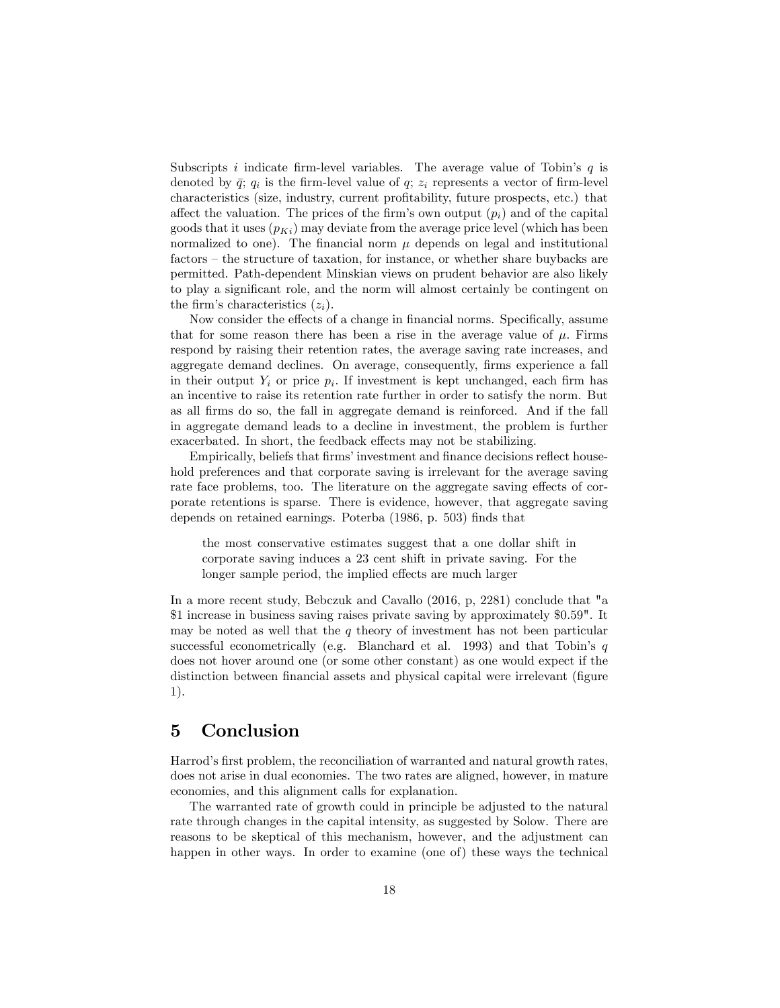Subscripts i indicate firm-level variables. The average value of Tobin's  $q$  is denoted by  $\bar{q}$ ;  $q_i$  is the firm-level value of  $q$ ;  $z_i$  represents a vector of firm-level characteristics (size, industry, current proÖtability, future prospects, etc.) that affect the valuation. The prices of the firm's own output  $(p_i)$  and of the capital goods that it uses  $(p_{Ki})$  may deviate from the average price level (which has been normalized to one). The financial norm  $\mu$  depends on legal and institutional  $factors - the structure of  $t\text{axation}$ , for instance, or whether share  $buv\text{backs}$  are$ permitted. Path-dependent Minskian views on prudent behavior are also likely to play a significant role, and the norm will almost certainly be contingent on the firm's characteristics  $(z_i)$ .

Now consider the effects of a change in financial norms. Specifically, assume that for some reason there has been a rise in the average value of  $\mu$ . Firms respond by raising their retention rates, the average saving rate increases, and aggregate demand declines. On average, consequently, firms experience a fall in their output  $Y_i$  or price  $p_i$ . If investment is kept unchanged, each firm has an incentive to raise its retention rate further in order to satisfy the norm. But as all Örms do so, the fall in aggregate demand is reinforced. And if the fall in aggregate demand leads to a decline in investment, the problem is further exacerbated. In short, the feedback effects may not be stabilizing.

Empirically, beliefs that firms' investment and finance decisions reflect household preferences and that corporate saving is irrelevant for the average saving rate face problems, too. The literature on the aggregate saving effects of corporate retentions is sparse. There is evidence, however, that aggregate saving depends on retained earnings. Poterba (1986, p. 503) finds that

the most conservative estimates suggest that a one dollar shift in corporate saving induces a 23 cent shift in private saving. For the longer sample period, the implied effects are much larger

In a more recent study, Bebczuk and Cavallo  $(2016, p, 2281)$  conclude that "a \$1 increase in business saving raises private saving by approximately \$0.59". It may be noted as well that the  $q$  theory of investment has not been particular successful econometrically (e.g. Blanchard et al. 1993) and that Tobin's  $q$ does not hover around one (or some other constant) as one would expect if the distinction between financial assets and physical capital were irrelevant (figure 1).

## 5 Conclusion

Harrod's first problem, the reconciliation of warranted and natural growth rates, does not arise in dual economies. The two rates are aligned, however, in mature economies, and this alignment calls for explanation.

The warranted rate of growth could in principle be adjusted to the natural rate through changes in the capital intensity, as suggested by Solow. There are reasons to be skeptical of this mechanism, however, and the adjustment can happen in other ways. In order to examine (one of) these ways the technical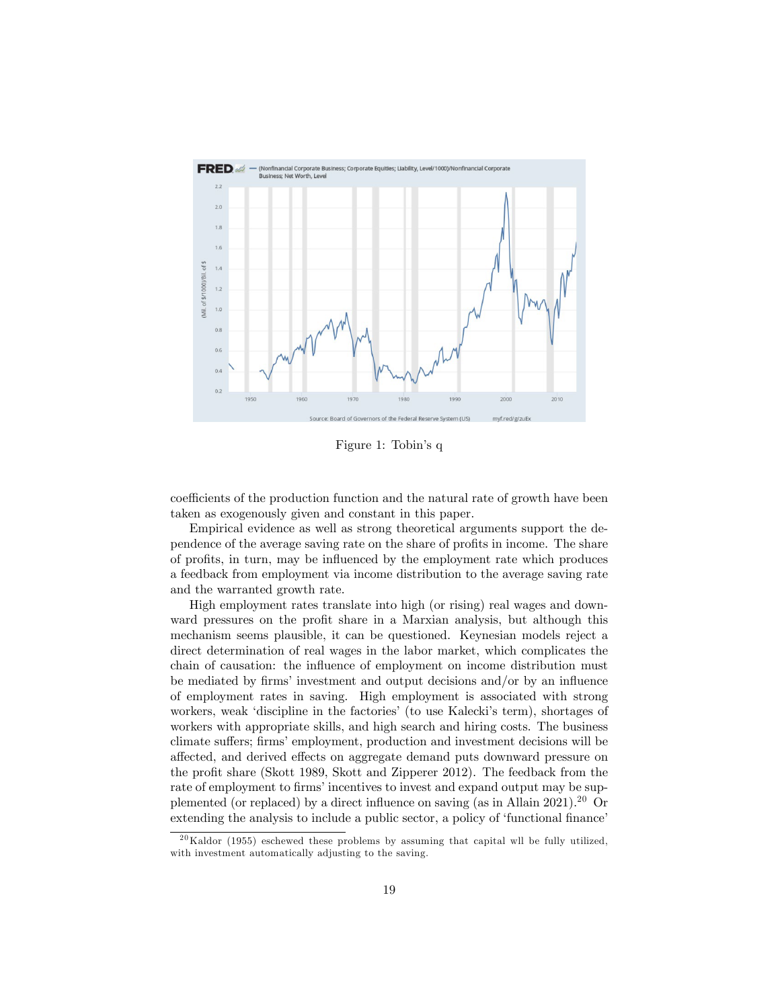

Figure 1: Tobin's q

coefficients of the production function and the natural rate of growth have been taken as exogenously given and constant in this paper.

Empirical evidence as well as strong theoretical arguments support the dependence of the average saving rate on the share of profits in income. The share of profits, in turn, may be influenced by the employment rate which produces a feedback from employment via income distribution to the average saving rate and the warranted growth rate.

High employment rates translate into high (or rising) real wages and downward pressures on the profit share in a Marxian analysis, but although this mechanism seems plausible, it can be questioned. Keynesian models reject a direct determination of real wages in the labor market, which complicates the chain of causation: the influence of employment on income distribution must be mediated by firms' investment and output decisions and/or by an influence of employment rates in saving. High employment is associated with strong workers, weak 'discipline in the factories' (to use Kalecki's term), shortages of workers with appropriate skills, and high search and hiring costs. The business climate suffers; firms' employment, production and investment decisions will be affected, and derived effects on aggregate demand puts downward pressure on the profit share (Skott 1989, Skott and Zipperer 2012). The feedback from the rate of employment to firms' incentives to invest and expand output may be supplemented (or replaced) by a direct influence on saving (as in Allain 2021).<sup>20</sup> Or extending the analysis to include a public sector, a policy of 'functional finance'

 $^{20}$ Kaldor (1955) eschewed these problems by assuming that capital wll be fully utilized, with investment automatically adjusting to the saving.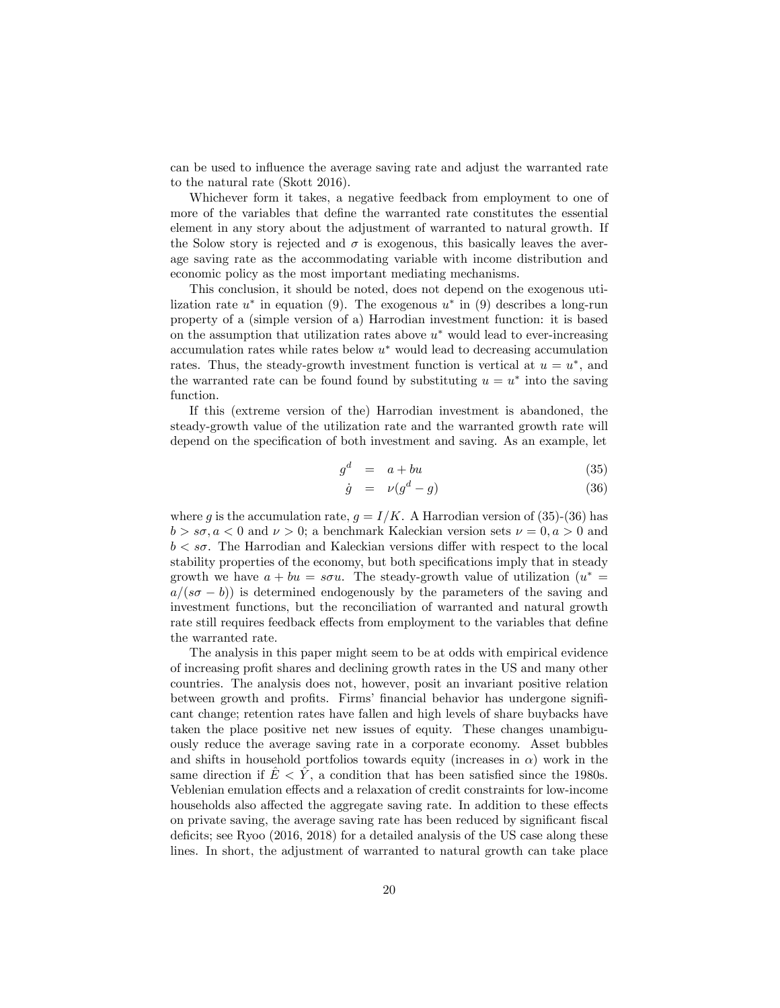can be used to influence the average saving rate and adjust the warranted rate to the natural rate (Skott 2016).

Whichever form it takes, a negative feedback from employment to one of more of the variables that define the warranted rate constitutes the essential element in any story about the adjustment of warranted to natural growth. If the Solow story is rejected and  $\sigma$  is exogenous, this basically leaves the average saving rate as the accommodating variable with income distribution and economic policy as the most important mediating mechanisms.

This conclusion, it should be noted, does not depend on the exogenous utilization rate  $u^*$  in equation (9). The exogenous  $u^*$  in (9) describes a long-run property of a (simple version of a) Harrodian investment function: it is based on the assumption that utilization rates above  $u^*$  would lead to ever-increasing  $\alpha$  accumulation rates while rates below  $u^*$  would lead to decreasing accumulation rates. Thus, the steady-growth investment function is vertical at  $u = u^*$ , and the warranted rate can be found found by substituting  $u = u^*$  into the saving function.

If this (extreme version of the) Harrodian investment is abandoned, the steady-growth value of the utilization rate and the warranted growth rate will depend on the specification of both investment and saving. As an example, let

$$
g^d = a + bu \tag{35}
$$

$$
\dot{g} = \nu(g^d - g) \tag{36}
$$

where g is the accumulation rate,  $g = I/K$ . A Harrodian version of (35)-(36) has  $b > s\sigma, a < 0$  and  $\nu > 0$ ; a benchmark Kaleckian version sets  $\nu = 0, a > 0$  and  $b < s\sigma$ . The Harrodian and Kaleckian versions differ with respect to the local stability properties of the economy, but both specifications imply that in steady growth we have  $a + bu = s\sigma u$ . The steady-growth value of utilization  $(u^*)$  $a/(s\sigma - b)$ ) is determined endogenously by the parameters of the saving and investment functions, but the reconciliation of warranted and natural growth rate still requires feedback effects from employment to the variables that define the warranted rate.

The analysis in this paper might seem to be at odds with empirical evidence of increasing profit shares and declining growth rates in the US and many other countries. The analysis does not, however, posit an invariant positive relation between growth and profits. Firms' financial behavior has undergone significant change; retention rates have fallen and high levels of share buybacks have taken the place positive net new issues of equity. These changes unambiguously reduce the average saving rate in a corporate economy. Asset bubbles and shifts in household portfolios towards equity (increases in  $\alpha$ ) work in the same direction if  $\hat{E} < \hat{Y}$ , a condition that has been satisfied since the 1980s. Veblenian emulation effects and a relaxation of credit constraints for low-income households also affected the aggregate saving rate. In addition to these effects on private saving, the average saving rate has been reduced by significant fiscal deficits; see Ryoo  $(2016, 2018)$  for a detailed analysis of the US case along these lines. In short, the adjustment of warranted to natural growth can take place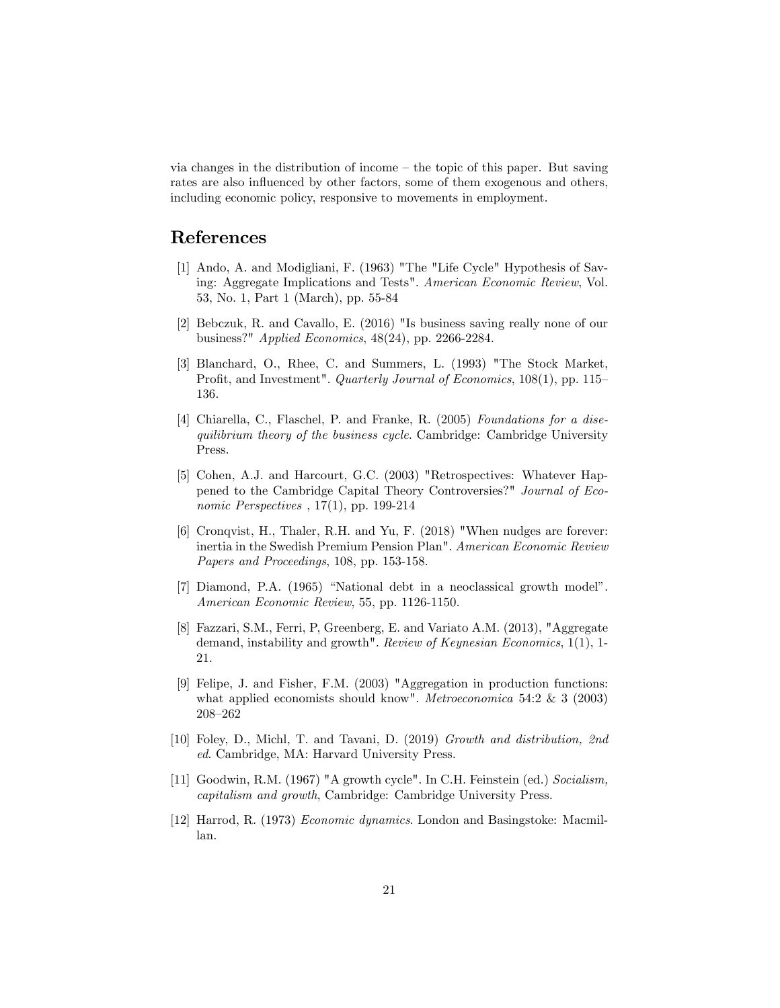via changes in the distribution of income  $-\theta$  the topic of this paper. But saving rates are also influenced by other factors, some of them exogenous and others, including economic policy, responsive to movements in employment.

## References

- [1] Ando, A. and Modigliani, F. (1963) "The "Life Cycle" Hypothesis of Saving: Aggregate Implications and Tests". American Economic Review, Vol. 53, No. 1, Part 1 (March), pp. 55-84
- [2] Bebczuk, R. and Cavallo, E. (2016) "Is business saving really none of our business?" Applied Economics, 48(24), pp. 2266-2284.
- [3] Blanchard, O., Rhee, C. and Summers, L. (1993) "The Stock Market, Profit, and Investment". Quarterly Journal of Economics,  $108(1)$ , pp. 115 136.
- [4] Chiarella, C., Flaschel, P. and Franke, R. (2005) Foundations for a disequilibrium theory of the business cycle. Cambridge: Cambridge University Press.
- [5] Cohen, A.J. and Harcourt, G.C. (2003) "Retrospectives: Whatever Happened to the Cambridge Capital Theory Controversies?" Journal of Economic Perspectives , 17(1), pp. 199-214
- [6] Cronqvist, H., Thaler, R.H. and Yu, F. (2018) "When nudges are forever: inertia in the Swedish Premium Pension Plan". American Economic Review Papers and Proceedings, 108, pp. 153-158.
- [7] Diamond, P.A. (1965) "National debt in a neoclassical growth model". American Economic Review, 55, pp. 1126-1150.
- [8] Fazzari, S.M., Ferri, P, Greenberg, E. and Variato A.M. (2013), "Aggregate demand, instability and growth". Review of Keynesian Economics, 1(1), 1- 21.
- [9] Felipe, J. and Fisher, F.M. (2003) "Aggregation in production functions: what applied economists should know". *Metroeconomica* 54:2 & 3 (2003) 208-262
- [10] Foley, D., Michl, T. and Tavani, D. (2019) Growth and distribution, 2nd ed. Cambridge, MA: Harvard University Press.
- [11] Goodwin, R.M. (1967) "A growth cycle". In C.H. Feinstein (ed.) Socialism, capitalism and growth, Cambridge: Cambridge University Press.
- [12] Harrod, R. (1973) Economic dynamics. London and Basingstoke: Macmillan.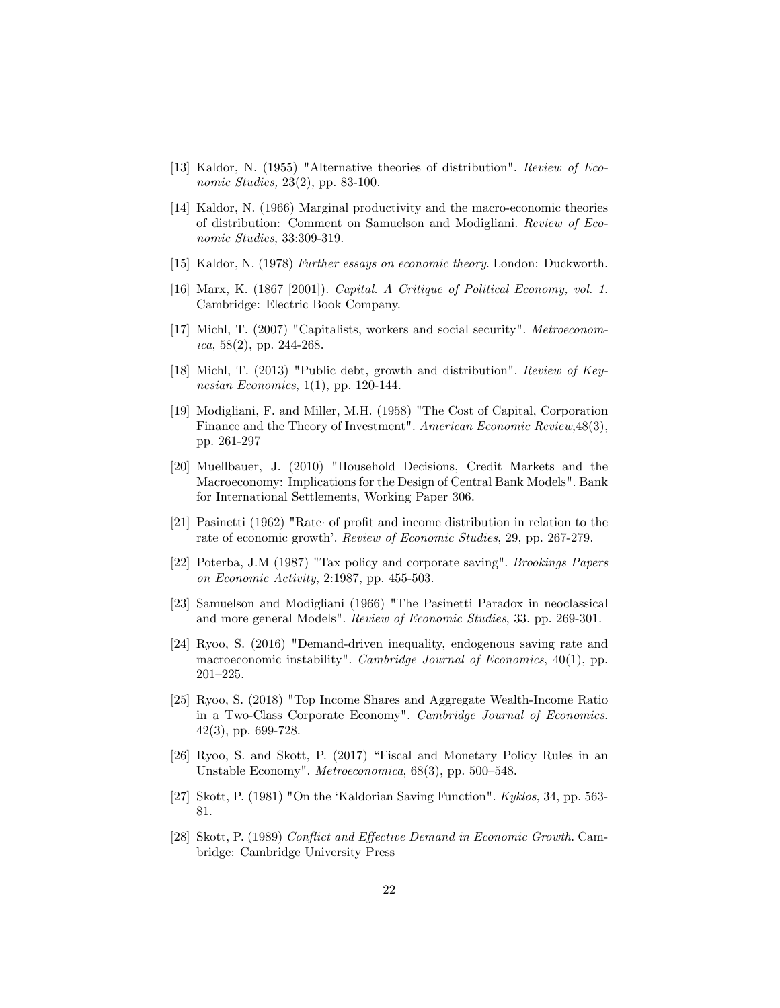- [13] Kaldor, N. (1955) "Alternative theories of distribution". Review of Economic Studies, 23(2), pp. 83-100.
- [14] Kaldor, N. (1966) Marginal productivity and the macro-economic theories of distribution: Comment on Samuelson and Modigliani. Review of Economic Studies, 33:309-319.
- [15] Kaldor, N. (1978) Further essays on economic theory. London: Duckworth.
- [16] Marx, K. (1867 [2001]). Capital. A Critique of Political Economy, vol. 1. Cambridge: Electric Book Company.
- [17] Michl, T. (2007) "Capitalists, workers and social security". Metroeconom*ica*, 58(2), pp. 244-268.
- [18] Michl, T. (2013) "Public debt, growth and distribution". Review of Keynesian Economics,  $1(1)$ , pp. 120-144.
- [19] Modigliani, F. and Miller, M.H. (1958) "The Cost of Capital, Corporation Finance and the Theory of Investment". American Economic Review, 48(3), pp. 261-297
- [20] Muellbauer, J. (2010) "Household Decisions, Credit Markets and the Macroeconomy: Implications for the Design of Central Bank Models". Bank for International Settlements, Working Paper 306.
- [21] Pasinetti (1962) "Rate of profit and income distribution in relation to the rate of economic growth'. Review of Economic Studies, 29, pp. 267-279.
- [22] Poterba, J.M (1987) "Tax policy and corporate saving". Brookings Papers on Economic Activity, 2:1987, pp. 455-503.
- [23] Samuelson and Modigliani (1966) "The Pasinetti Paradox in neoclassical and more general Models". Review of Economic Studies, 33. pp. 269-301.
- [24] Ryoo, S. (2016) "Demand-driven inequality, endogenous saving rate and macroeconomic instability". Cambridge Journal of Economics, 40(1), pp.  $201 - 225.$
- [25] Ryoo, S. (2018) "Top Income Shares and Aggregate Wealth-Income Ratio in a Two-Class Corporate Economy". Cambridge Journal of Economics. 42(3), pp. 699-728.
- $[26]$  Ryoo, S. and Skott, P.  $(2017)$  "Fiscal and Monetary Policy Rules in an Unstable Economy". Metroeconomica,  $68(3)$ , pp. 500-548.
- [27] Skott, P. (1981) "On the 'Kaldorian Saving Function". Kyklos, 34, pp. 563-81.
- [28] Skott, P. (1989) Conflict and Effective Demand in Economic Growth. Cambridge: Cambridge University Press